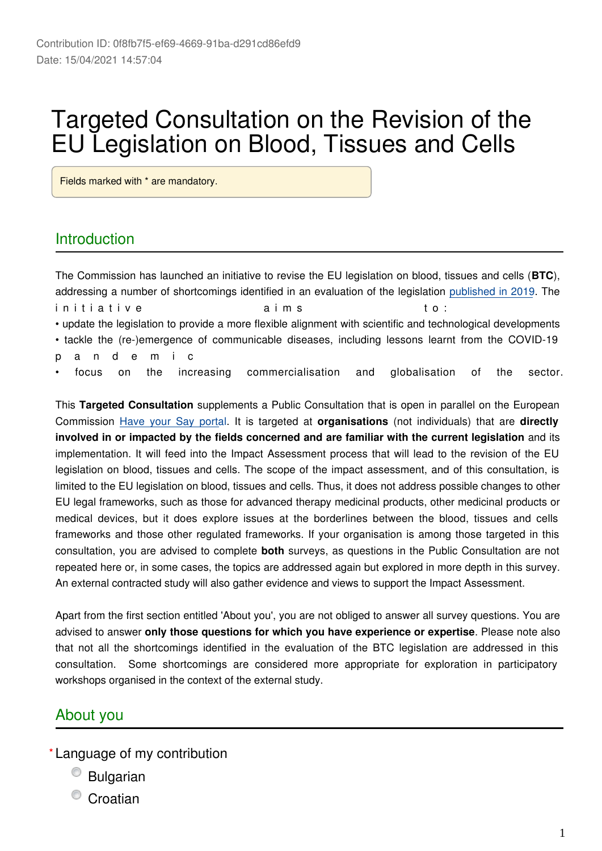# Targeted Consultation on the Revision of the EU Legislation on Blood, Tissues and Cells

Fields marked with \* are mandatory.

### **Introduction**

The Commission has launched an initiative to revise the EU legislation on blood, tissues and cells (**BTC**), addressing a number of shortcomings identified in an evaluation of the legislation [published in 2019](https://ec.europa.eu/health/sites/health/files/blood_tissues_organs/docs/swd_2019_376_en.pdf). The in i t i a t i v e a i c a i m s t o : • update the legislation to provide a more flexible alignment with scientific and technological developments • tackle the (re-)emergence of communicable diseases, including lessons learnt from the COVID-19 p a n d e m i c • focus on the increasing commercialisation and globalisation of the sector.

This **Targeted Consultation** supplements a Public Consultation that is open in parallel on the European Commission [Have your Say porta](https://ec.europa.eu/info/law/better-regulation/have-your-say/initiatives/12734-Revision-of-the-Union-legislation-on-blood-tissues-and-cells/public-consultation)l. It is targeted at **organisations** (not individuals) that are **directly involved in or impacted by the fields concerned and are familiar with the current legislation** and its implementation. It will feed into the Impact Assessment process that will lead to the revision of the EU legislation on blood, tissues and cells. The scope of the impact assessment, and of this consultation, is limited to the EU legislation on blood, tissues and cells. Thus, it does not address possible changes to other EU legal frameworks, such as those for advanced therapy medicinal products, other medicinal products or medical devices, but it does explore issues at the borderlines between the blood, tissues and cells frameworks and those other regulated frameworks. If your organisation is among those targeted in this consultation, you are advised to complete **both** surveys, as questions in the Public Consultation are not repeated here or, in some cases, the topics are addressed again but explored in more depth in this survey. An external contracted study will also gather evidence and views to support the Impact Assessment.

Apart from the first section entitled 'About you', you are not obliged to answer all survey questions. You are advised to answer **only those questions for which you have experience or expertise**. Please note also that not all the shortcomings identified in the evaluation of the BTC legislation are addressed in this consultation. Some shortcomings are considered more appropriate for exploration in participatory workshops organised in the context of the external study.

### About you

- Language of my contribution **\***
	- Bulgarian
	- **Croatian**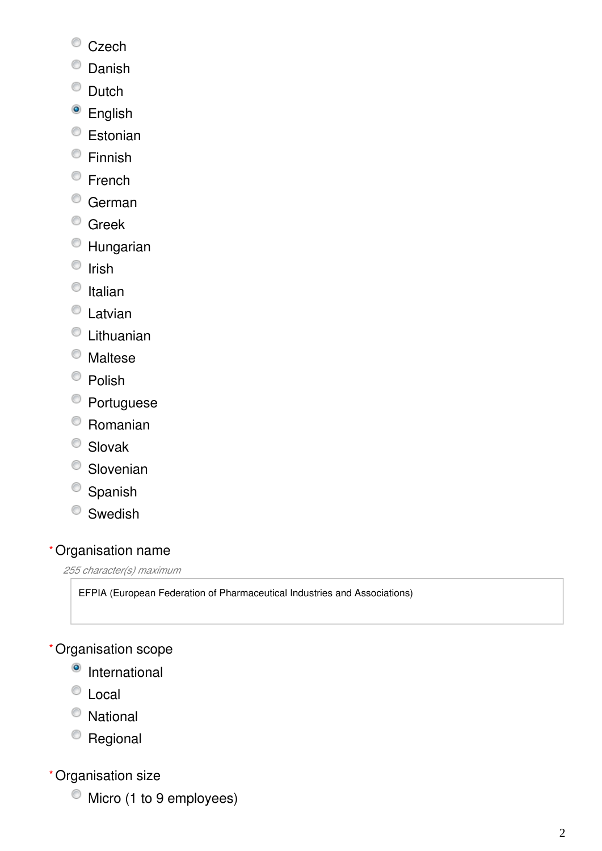- <sup>©</sup> Czech
- <sup>O</sup> Danish
- <sup>O</sup> Dutch
- <sup>o</sup> English
- <sup>t</sup> Estonian
- Finnish
- <sup>©</sup> French
- <sup>O</sup> German
- <sup>O</sup> Greek
- Hungarian
- $\bullet$  Irish
- $\bullet$  Italian
- C Latvian
- Lithuanian
- Maltese
- $\bullet$  Polish
- <sup>●</sup> Portuguese
- Romanian
- <sup>O</sup> Slovak
- <sup>O</sup> Slovenian
- <sup>O</sup> Spanish
- <sup>O</sup> Swedish

### Organisation name **\***

*255 character(s) maximum*

EFPIA (European Federation of Pharmaceutical Industries and Associations)

### Organisation scope **\***

- <sup>o</sup> International
- <sup>O</sup> Local
- National
- Regional
- Organisation size **\***
	- $\bullet$  Micro (1 to 9 employees)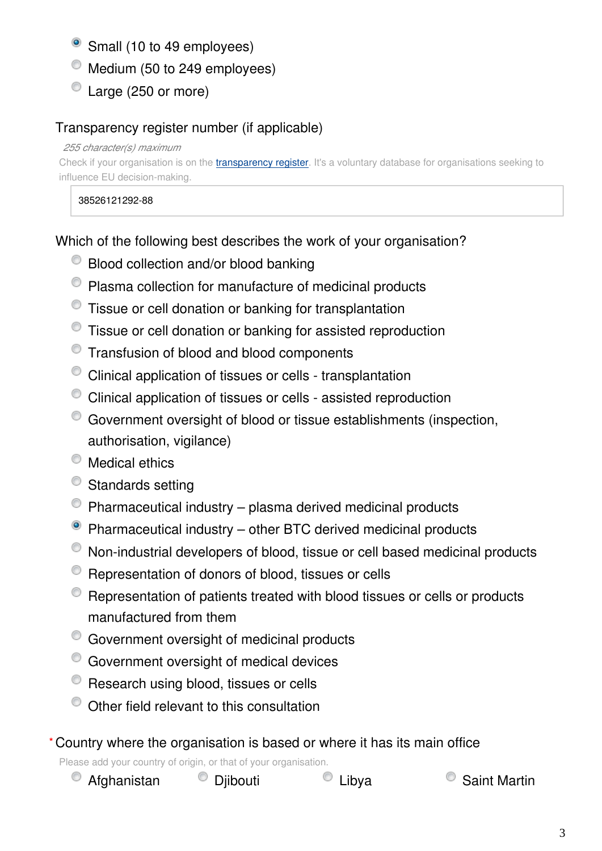- Small (10 to 49 employees)
- $^{\circ}$  Medium (50 to 249 employees)
- C Large (250 or more)

### Transparency register number (if applicable)

#### *255 character(s) maximum*

Check if your organisation is on the [transparency register](http://ec.europa.eu/transparencyregister/public/homePage.do?redir=false&locale=en). It's a voluntary database for organisations seeking to influence EU decision-making.

38526121292-88

Which of the following best describes the work of your organisation?

- <sup>©</sup> Blood collection and/or blood banking
- Plasma collection for manufacture of medicinal products
- Tissue or cell donation or banking for transplantation
- Tissue or cell donation or banking for assisted reproduction
- Transfusion of blood and blood components
- Clinical application of tissues or cells transplantation
- Clinical application of tissues or cells assisted reproduction
- Government oversight of blood or tissue establishments (inspection, authorisation, vigilance)
- $^{\circ}$  Medical ethics
- <sup>O</sup> Standards setting
- $\bullet$  Pharmaceutical industry plasma derived medicinal products
- Pharmaceutical industry other BTC derived medicinal products
- Non-industrial developers of blood, tissue or cell based medicinal products
- <sup>©</sup> Representation of donors of blood, tissues or cells
- Representation of patients treated with blood tissues or cells or products manufactured from them
- Government oversight of medicinal products
- Government oversight of medical devices
- $\bullet$  Research using blood, tissues or cells
- $\degree$  Other field relevant to this consultation

### Country where the organisation is based or where it has its main office **\***

Please add your country of origin, or that of your organisation.

| Afghanistan | C Djibouti | $\circ$ Liby |
|-------------|------------|--------------|
|-------------|------------|--------------|

va $\qquad \qquad \circ$  Saint Martin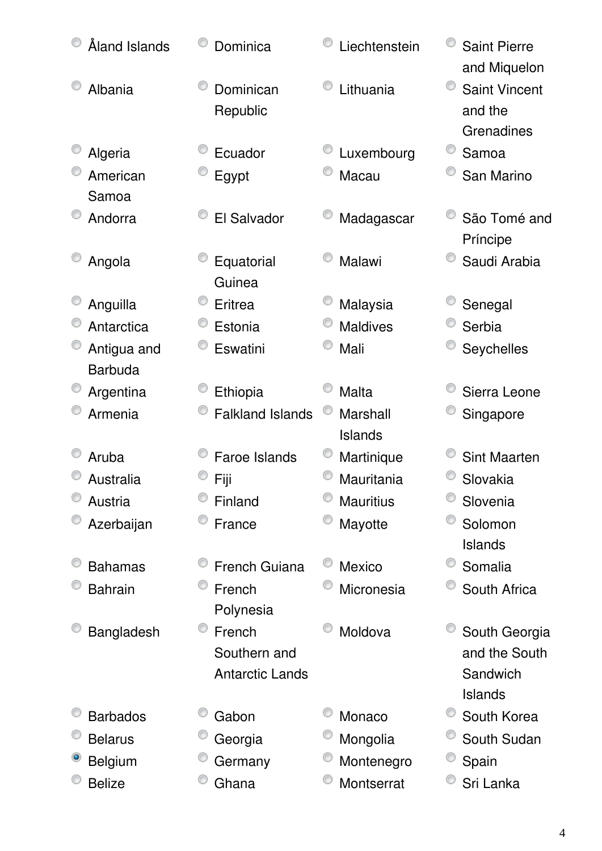| Åland Islands   | Dominica                | Liechtenstein       | <b>Saint Pierre</b><br>and Miquelon           |
|-----------------|-------------------------|---------------------|-----------------------------------------------|
| Albania         | Dominican<br>Republic   | Lithuania           | <b>Saint Vincent</b><br>and the<br>Grenadines |
| Algeria         | Ecuador                 | Luxembourg          | Samoa                                         |
| American        | Egypt                   | Macau               | San Marino                                    |
| Samoa           |                         |                     |                                               |
| Andorra         | El Salvador             | Madagascar          | São Tomé and<br>Príncipe                      |
| Angola          | Equatorial              | Malawi              | Saudi Arabia                                  |
|                 | Guinea                  |                     |                                               |
| Anguilla        | Eritrea                 | Malaysia            | Senegal                                       |
| Antarctica      | Estonia                 | <b>Maldives</b>     | Serbia                                        |
| Antigua and     | Eswatini                | Mali                | Seychelles                                    |
| <b>Barbuda</b>  |                         |                     |                                               |
| Argentina       | Ethiopia                | Malta               | Sierra Leone                                  |
| Armenia         | <b>Falkland Islands</b> | Marshall<br>Islands | Singapore                                     |
| Aruba           | <b>Faroe Islands</b>    | Martinique          | <b>Sint Maarten</b>                           |
| Australia       | Fiji                    | Mauritania          | Slovakia                                      |
| Austria         | Finland                 | <b>Mauritius</b>    | Slovenia                                      |
| Azerbaijan      | France                  | Mayotte             | Solomon                                       |
|                 |                         |                     | Islands                                       |
| <b>Bahamas</b>  | <b>French Guiana</b>    | Mexico              | Somalia                                       |
| <b>Bahrain</b>  | French                  | Micronesia          | South Africa                                  |
|                 | Polynesia               |                     |                                               |
| Bangladesh      | O<br>French             | Moldova             | South Georgia                                 |
|                 | Southern and            |                     | and the South                                 |
|                 | <b>Antarctic Lands</b>  |                     | Sandwich                                      |
|                 |                         |                     | <b>Islands</b>                                |
| <b>Barbados</b> | Gabon                   | Monaco              | South Korea                                   |
| <b>Belarus</b>  | Georgia                 | Mongolia            | South Sudan                                   |
| <b>Belgium</b>  | Germany                 | Montenegro          | Spain                                         |
| <b>Belize</b>   | Ghana                   | Montserrat          | Sri Lanka                                     |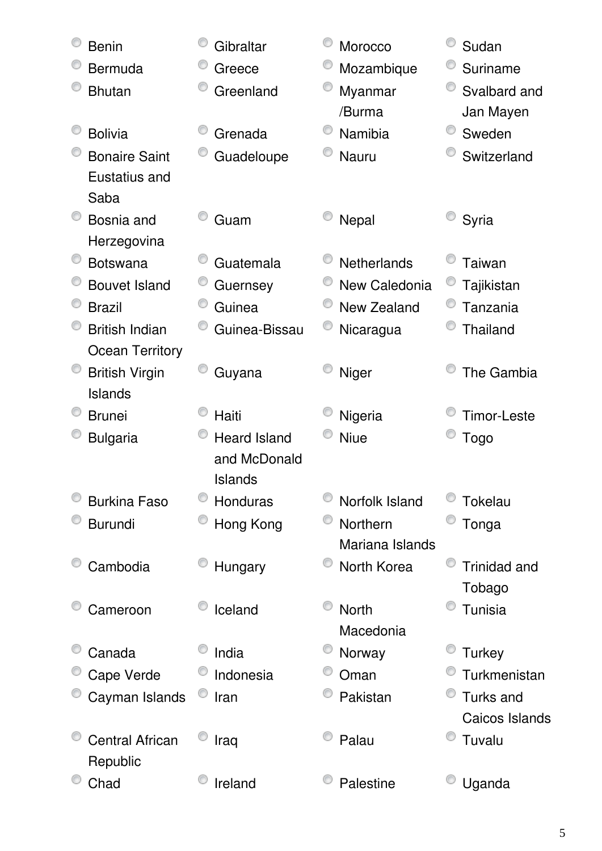| <b>Benin</b>           | Gibraltar           | Morocco            | Sudan               |
|------------------------|---------------------|--------------------|---------------------|
| <b>Bermuda</b>         | Greece              | Mozambique         | Suriname            |
| <b>Bhutan</b>          | Greenland           | Myanmar            | Svalbard and        |
|                        |                     | /Burma             | Jan Mayen           |
| <b>Bolivia</b>         | Grenada             | Namibia            | Sweden              |
| <b>Bonaire Saint</b>   | Guadeloupe          | Nauru              | Switzerland         |
| Eustatius and          |                     |                    |                     |
| Saba                   |                     |                    |                     |
| Bosnia and             | Guam                | Nepal              | Syria               |
| Herzegovina            |                     |                    |                     |
| <b>Botswana</b>        | Guatemala           | <b>Netherlands</b> | Taiwan              |
| <b>Bouvet Island</b>   | Guernsey            | New Caledonia      | Tajikistan          |
| <b>Brazil</b>          | Guinea              | New Zealand        | Tanzania            |
| <b>British Indian</b>  | Guinea-Bissau       | Nicaragua          | Thailand            |
| <b>Ocean Territory</b> |                     |                    |                     |
| <b>British Virgin</b>  | Guyana              | Niger              | The Gambia          |
| Islands                |                     |                    |                     |
| <b>Brunei</b>          | Haiti               | Nigeria            | <b>Timor-Leste</b>  |
| <b>Bulgaria</b>        | <b>Heard Island</b> | <b>Niue</b>        | <b>Togo</b>         |
|                        | and McDonald        |                    |                     |
|                        | Islands             |                    |                     |
| <b>Burkina Faso</b>    | Honduras            | Norfolk Island     | <b>Tokelau</b>      |
| <b>Burundi</b>         | Hong Kong           | Northern           | Tonga               |
|                        |                     | Mariana Islands    |                     |
| Cambodia               | Hungary             | North Korea        | <b>Trinidad and</b> |
|                        |                     |                    | Tobago              |
| Cameroon               | Iceland             | <b>North</b>       | Tunisia             |
|                        |                     | Macedonia          |                     |
| Canada                 | India               | Norway             | <b>Turkey</b>       |
| Cape Verde             | Indonesia           | Oman               | Turkmenistan        |
| Cayman Islands         | Iran                | Pakistan           | Turks and           |
|                        |                     |                    | Caicos Islands      |
| <b>Central African</b> | Iraq                | Palau              | Tuvalu              |
| Republic               |                     |                    |                     |
| Chad                   | Ireland             | Palestine          | Uganda              |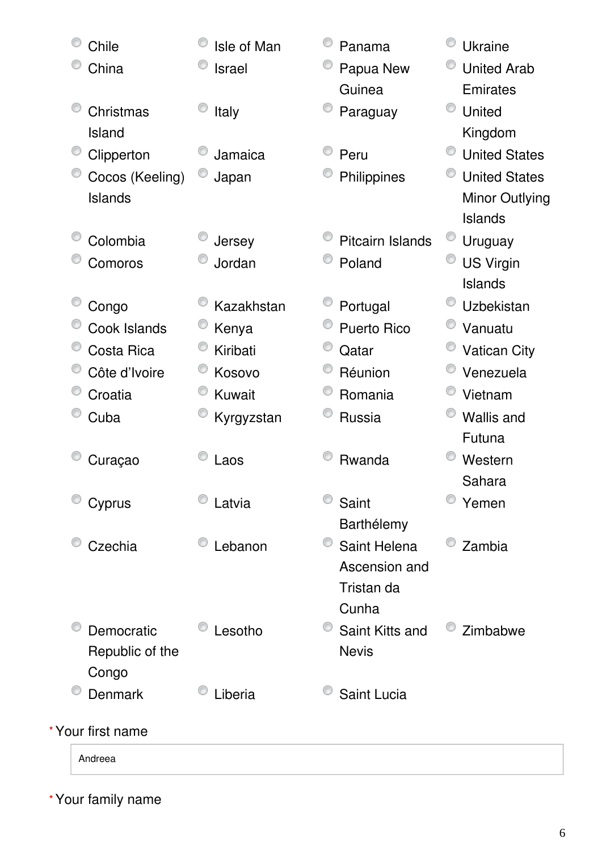| Chile             | Isle of Man   | Panama                  | <b>Ukraine</b>       |
|-------------------|---------------|-------------------------|----------------------|
| China             | <b>Israel</b> | Papua New               | <b>United Arab</b>   |
|                   |               | Guinea                  | <b>Emirates</b>      |
| Christmas         | Italy         | Paraguay                | United               |
| Island            |               |                         | Kingdom              |
| Clipperton        | Jamaica       | Peru                    | <b>United States</b> |
| Cocos (Keeling)   | Japan         | Philippines             | <b>United States</b> |
| <b>Islands</b>    |               |                         | Minor Outlying       |
|                   |               |                         | Islands              |
| Colombia          | Jersey        | <b>Pitcairn Islands</b> | Uruguay              |
| Comoros           | Jordan        | Poland                  | <b>US Virgin</b>     |
|                   |               |                         | Islands              |
| Congo             | Kazakhstan    | Portugal                | <b>Uzbekistan</b>    |
| Cook Islands      | Kenya         | <b>Puerto Rico</b>      | Vanuatu              |
| Costa Rica        | Kiribati      | Qatar                   | <b>Vatican City</b>  |
| Côte d'Ivoire     | Kosovo        | Réunion                 | Venezuela            |
| Croatia           | Kuwait        | Romania                 | Vietnam              |
| Cuba              | Kyrgyzstan    | Russia                  | <b>Wallis and</b>    |
|                   |               |                         | Futuna               |
| Curaçao           | Laos          | Rwanda                  | Western              |
|                   |               |                         | Sahara               |
| Cyprus            | Latvia        | Saint                   | Yemen                |
|                   |               | Barthélemy              |                      |
| Czechia           | Lebanon       | Saint Helena            | Zambia               |
|                   |               | Ascension and           |                      |
|                   |               | Tristan da              |                      |
|                   |               | Cunha                   |                      |
| Democratic        | Lesotho       | Saint Kitts and         | Zimbabwe             |
| Republic of the   |               | <b>Nevis</b>            |                      |
| Congo             |               |                         |                      |
| <b>Denmark</b>    | Liberia       | Saint Lucia             |                      |
| * Your first name |               |                         |                      |
| Andreea           |               |                         |                      |
|                   |               |                         |                      |

Your family name **\***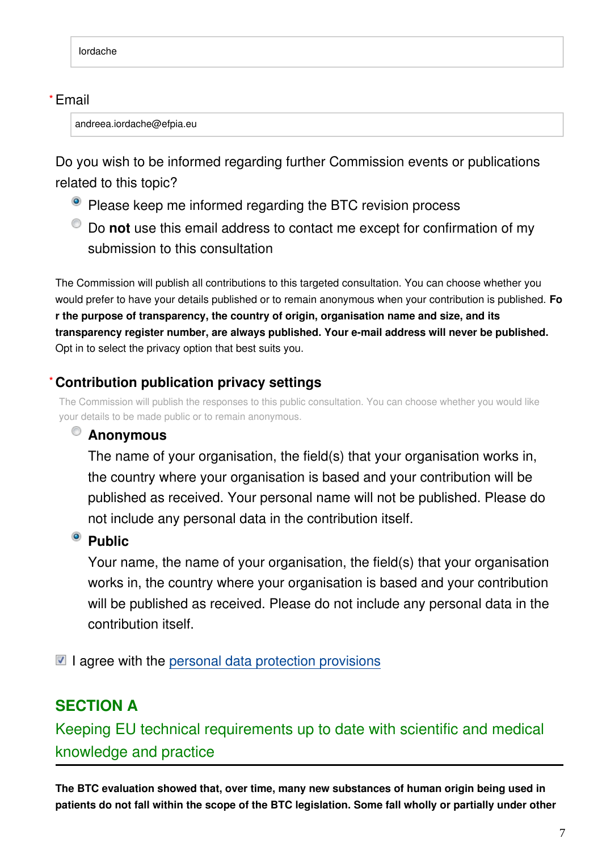#### Email **\***

andreea.iordache@efpia.eu

Do you wish to be informed regarding further Commission events or publications related to this topic?

- Please keep me informed regarding the BTC revision process
- Do **not** use this email address to contact me except for confirmation of my submission to this consultation

The Commission will publish all contributions to this targeted consultation. You can choose whether you would prefer to have your details published or to remain anonymous when your contribution is published. **Fo r the purpose of transparency, the country of origin, organisation name and size, and its transparency register number, are always published. Your e-mail address will never be published.** Opt in to select the privacy option that best suits you.

#### **Contribution publication privacy settings \***

The Commission will publish the responses to this public consultation. You can choose whether you would like your details to be made public or to remain anonymous.

### **Anonymous**

The name of your organisation, the field(s) that your organisation works in, the country where your organisation is based and your contribution will be published as received. Your personal name will not be published. Please do not include any personal data in the contribution itself.

### <sup>o</sup> Public

Your name, the name of your organisation, the field(s) that your organisation works in, the country where your organisation is based and your contribution will be published as received. Please do not include any personal data in the contribution itself.

 $\blacksquare$  I agree with the [personal data protection provisions](https://ec.europa.eu/info/law/better-regulation/specific-privacy-statement)

## **SECTION A**

Keeping EU technical requirements up to date with scientific and medical knowledge and practice

**The BTC evaluation showed that, over time, many new substances of human origin being used in patients do not fall within the scope of the BTC legislation. Some fall wholly or partially under other**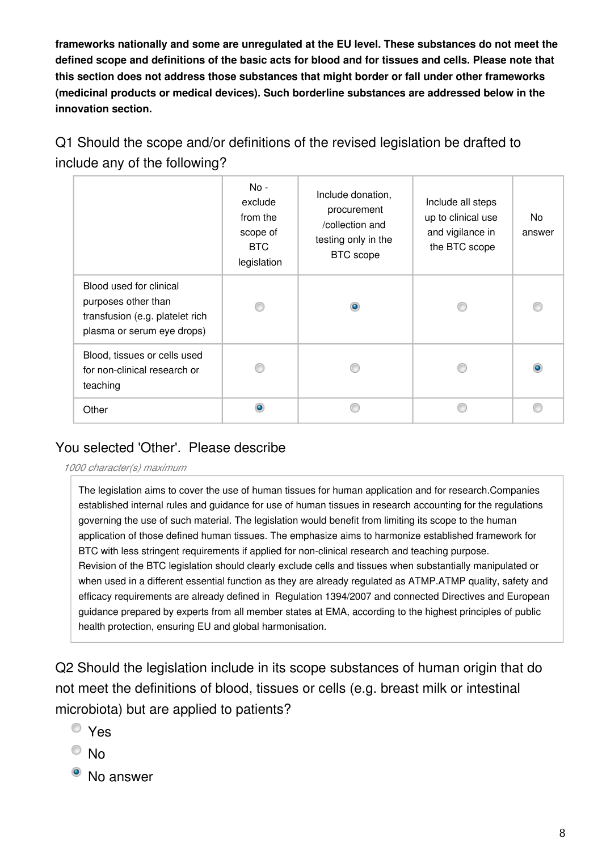**frameworks nationally and some are unregulated at the EU level. These substances do not meet the defined scope and definitions of the basic acts for blood and for tissues and cells. Please note that this section does not address those substances that might border or fall under other frameworks (medicinal products or medical devices). Such borderline substances are addressed below in the innovation section.**

Q1 Should the scope and/or definitions of the revised legislation be drafted to include any of the following?

|                                                                                                                 | $No -$<br>exclude<br>from the<br>scope of<br>BTC<br>legislation | Include donation,<br>procurement<br>/collection and<br>testing only in the<br><b>BTC</b> scope | Include all steps<br>up to clinical use<br>and vigilance in<br>the BTC scope | No<br>answer |
|-----------------------------------------------------------------------------------------------------------------|-----------------------------------------------------------------|------------------------------------------------------------------------------------------------|------------------------------------------------------------------------------|--------------|
| Blood used for clinical<br>purposes other than<br>transfusion (e.g. platelet rich<br>plasma or serum eye drops) |                                                                 | $\bullet$                                                                                      |                                                                              |              |
| Blood, tissues or cells used<br>for non-clinical research or<br>teaching                                        |                                                                 |                                                                                                |                                                                              |              |
| Other                                                                                                           | ۵                                                               |                                                                                                |                                                                              |              |

### You selected 'Other'. Please describe

*1000 character(s) maximum*

The legislation aims to cover the use of human tissues for human application and for research.Companies established internal rules and guidance for use of human tissues in research accounting for the regulations governing the use of such material. The legislation would benefit from limiting its scope to the human application of those defined human tissues. The emphasize aims to harmonize established framework for BTC with less stringent requirements if applied for non-clinical research and teaching purpose. Revision of the BTC legislation should clearly exclude cells and tissues when substantially manipulated or when used in a different essential function as they are already regulated as ATMP.ATMP quality, safety and efficacy requirements are already defined in Regulation 1394/2007 and connected Directives and European guidance prepared by experts from all member states at EMA, according to the highest principles of public health protection, ensuring EU and global harmonisation.

Q2 Should the legislation include in its scope substances of human origin that do not meet the definitions of blood, tissues or cells (e.g. breast milk or intestinal microbiota) but are applied to patients?

- Yes
- $\circ$  No
- <sup>o</sup> No answer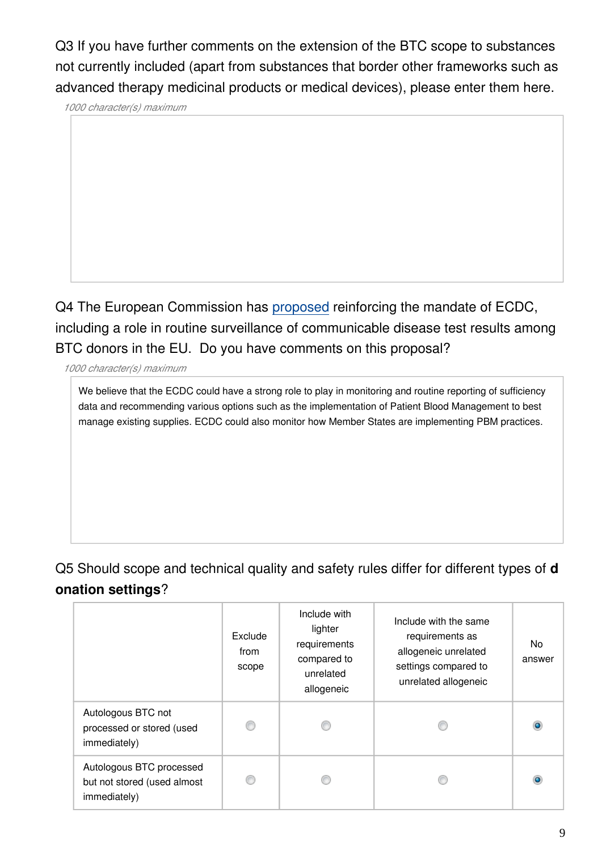Q3 If you have further comments on the extension of the BTC scope to substances not currently included (apart from substances that border other frameworks such as advanced therapy medicinal products or medical devices), please enter them here.

*1000 character(s) maximum*

Q4 The European Commission has [proposed](https://ec.europa.eu/info/law/better-regulation/have-your-say/initiatives/12794-Proposal-for-a-Regulation-establishing-a-European-Centre-for-Disease-Prevention-and-Control-ECDC-) reinforcing the mandate of ECDC, including a role in routine surveillance of communicable disease test results among BTC donors in the EU. Do you have comments on this proposal?

*1000 character(s) maximum*

We believe that the ECDC could have a strong role to play in monitoring and routine reporting of sufficiency data and recommending various options such as the implementation of Patient Blood Management to best manage existing supplies. ECDC could also monitor how Member States are implementing PBM practices.

### Q5 Should scope and technical quality and safety rules differ for different types of **d onation settings**?

|                                                                         | Exclude<br>from<br>scope | Include with<br>lighter<br>requirements<br>compared to<br>unrelated<br>allogeneic | Include with the same<br>requirements as<br>allogeneic unrelated<br>settings compared to<br>unrelated allogeneic | No.<br>answer |
|-------------------------------------------------------------------------|--------------------------|-----------------------------------------------------------------------------------|------------------------------------------------------------------------------------------------------------------|---------------|
| Autologous BTC not<br>processed or stored (used<br>immediately)         | ⋒                        |                                                                                   | Œ                                                                                                                |               |
| Autologous BTC processed<br>but not stored (used almost<br>immediately) |                          |                                                                                   | œ                                                                                                                |               |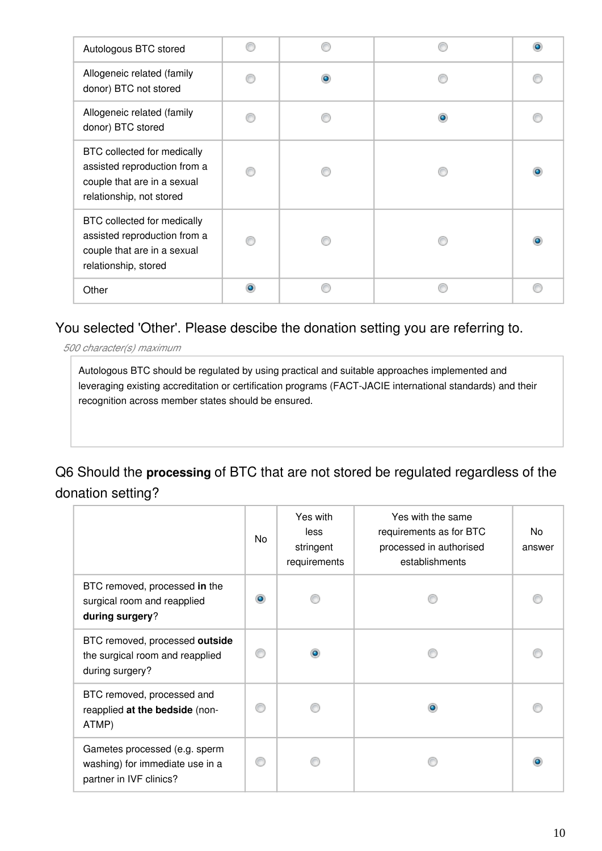| Autologous BTC stored                                                                                                  |   | $\bullet$ |
|------------------------------------------------------------------------------------------------------------------------|---|-----------|
| Allogeneic related (family<br>donor) BTC not stored                                                                    | ۵ |           |
| Allogeneic related (family<br>donor) BTC stored                                                                        |   |           |
| BTC collected for medically<br>assisted reproduction from a<br>couple that are in a sexual<br>relationship, not stored |   | $\bullet$ |
| BTC collected for medically<br>assisted reproduction from a<br>couple that are in a sexual<br>relationship, stored     |   | $\bullet$ |
| Other                                                                                                                  |   |           |

#### You selected 'Other'. Please descibe the donation setting you are referring to.

*500 character(s) maximum*

Autologous BTC should be regulated by using practical and suitable approaches implemented and leveraging existing accreditation or certification programs (FACT-JACIE international standards) and their recognition across member states should be ensured.

### Q6 Should the **processing** of BTC that are not stored be regulated regardless of the donation setting?

|                                                                                             | No        | Yes with<br>less<br>stringent<br>requirements | Yes with the same<br>requirements as for BTC<br>processed in authorised<br>establishments | No<br>answer |
|---------------------------------------------------------------------------------------------|-----------|-----------------------------------------------|-------------------------------------------------------------------------------------------|--------------|
| BTC removed, processed in the<br>surgical room and reapplied<br>during surgery?             | $\bullet$ |                                               |                                                                                           |              |
| BTC removed, processed outside<br>the surgical room and reapplied<br>during surgery?        | ⋒         |                                               |                                                                                           |              |
| BTC removed, processed and<br>reapplied at the bedside (non-<br>ATMP)                       | €         |                                               |                                                                                           |              |
| Gametes processed (e.g. sperm<br>washing) for immediate use in a<br>partner in IVF clinics? | C         |                                               |                                                                                           |              |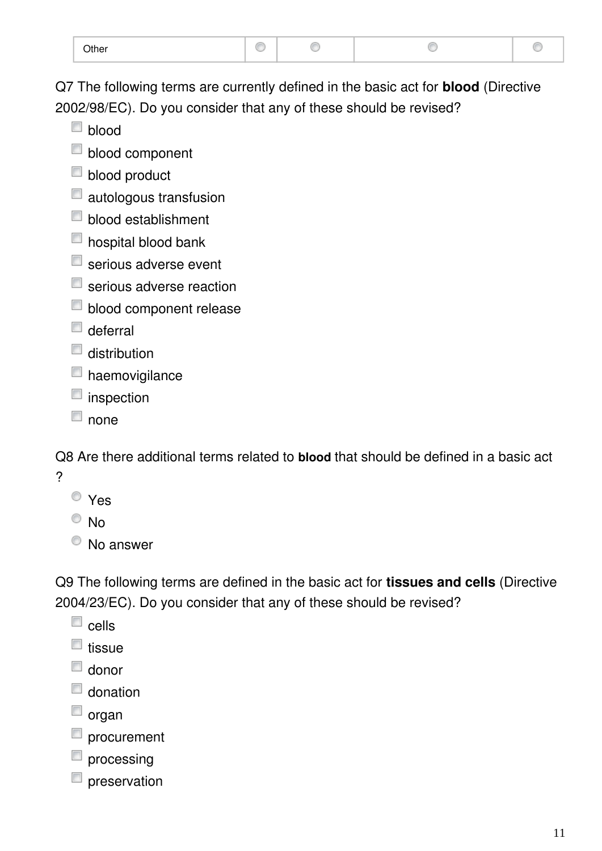| <b>Other</b> |  |  |  |  |
|--------------|--|--|--|--|
|--------------|--|--|--|--|

Q7 The following terms are currently defined in the basic act for **blood** (Directive 2002/98/EC). Do you consider that any of these should be revised?

- $\Box$  blood
- **blood component**
- **blood product**
- **autologous transfusion**
- **blood establishment**
- **n** hospital blood bank
- serious adverse event
- serious adverse reaction
- **blood component release**
- $\Box$  deferral
- $\Box$  distribution
- haemovigilance
- $\blacksquare$  inspection
- $\Box$  none

Q8 Are there additional terms related to **blood** that should be defined in a basic act ?

- Yes
- $\circ$  No
- <sup>O</sup> No answer

Q9 The following terms are defined in the basic act for **tissues and cells** (Directive 2004/23/EC). Do you consider that any of these should be revised?

- $\square$  cells
- $\Box$  tissue
- $\Box$  donor
- $\Box$  donation
- $\Box$  organ
- procurement
- $\Box$  processing
- preservation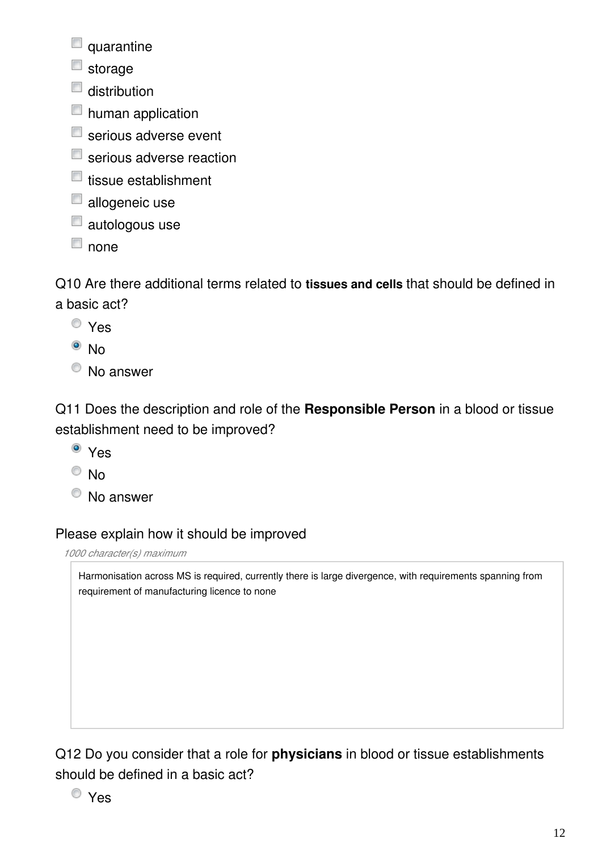quarantine

- $\blacksquare$  storage
- $\Box$  distribution
- **n** human application
- $\blacksquare$  serious adverse event
- serious adverse reaction
- $\blacksquare$  tissue establishment
- allogeneic use
- $\Box$  autologous use
- $\Box$  none

Q10 Are there additional terms related to **tissues and cells** that should be defined in a basic act?

- Yes
- $\bullet$  No
- <sup>O</sup> No answer

Q11 Does the description and role of the **Responsible Person** in a blood or tissue establishment need to be improved?

- Yes
- $\circ$  No
- <sup>O</sup> No answer

#### Please explain how it should be improved

*1000 character(s) maximum*

Harmonisation across MS is required, currently there is large divergence, with requirements spanning from requirement of manufacturing licence to none

Q12 Do you consider that a role for **physicians** in blood or tissue establishments should be defined in a basic act?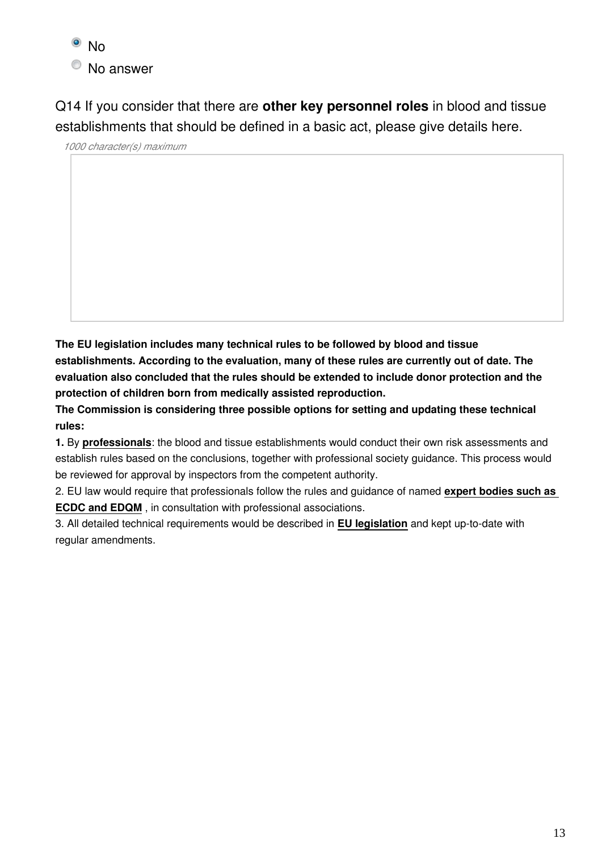

Q14 If you consider that there are **other key personnel roles** in blood and tissue establishments that should be defined in a basic act, please give details here.

*1000 character(s) maximum*

**The EU legislation includes many technical rules to be followed by blood and tissue establishments. According to the evaluation, many of these rules are currently out of date. The evaluation also concluded that the rules should be extended to include donor protection and the protection of children born from medically assisted reproduction.**

**The Commission is considering three possible options for setting and updating these technical rules:**

**1.** By **professionals**: the blood and tissue establishments would conduct their own risk assessments and establish rules based on the conclusions, together with professional society guidance. This process would be reviewed for approval by inspectors from the competent authority.

2. EU law would require that professionals follow the rules and guidance of named **expert bodies such as ECDC and EDQM** , in consultation with professional associations.

3. All detailed technical requirements would be described in **EU legislation** and kept up-to-date with regular amendments.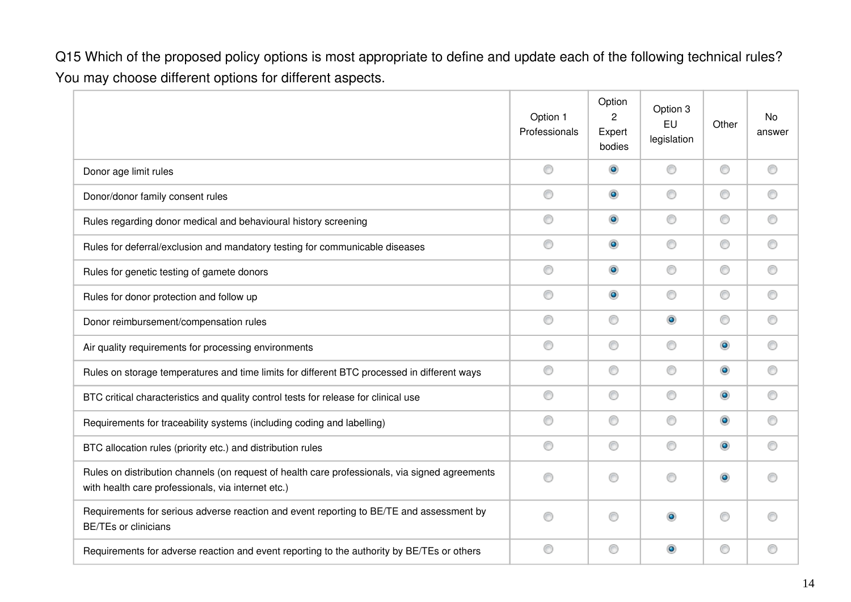Q15 Which of the proposed policy options is most appropriate to define and update each of the following technical rules? You may choose different options for different aspects.

|                                                                                                                                                      | Option 1<br>Professionals | Option<br>2<br>Expert<br>bodies | Option 3<br>EU<br>legislation | Other     | No<br>answer |
|------------------------------------------------------------------------------------------------------------------------------------------------------|---------------------------|---------------------------------|-------------------------------|-----------|--------------|
| Donor age limit rules                                                                                                                                | 0                         | $\bullet$                       | ⊙                             | 0         | 0            |
| Donor/donor family consent rules                                                                                                                     | 0                         | $\circledcirc$                  | ⊙                             | 0         | ⊙            |
| Rules regarding donor medical and behavioural history screening                                                                                      | 0                         | $\circledcirc$                  | ⊙                             | 0         | ⊙            |
| Rules for deferral/exclusion and mandatory testing for communicable diseases                                                                         | 0                         | $\bullet$                       | ⊙                             | 0         | ⊙            |
| Rules for genetic testing of gamete donors                                                                                                           | 0                         | $\bullet$                       | ⊙                             | 0         | ⊙            |
| Rules for donor protection and follow up                                                                                                             | 0                         | $\bullet$                       | ◎                             | 0         | ⊙            |
| Donor reimbursement/compensation rules                                                                                                               | 0                         | 0                               | $\circledcirc$                | 0         | ⊙            |
| Air quality requirements for processing environments                                                                                                 | 0                         | 0                               | ◎                             | ۰         | ⊙            |
| Rules on storage temperatures and time limits for different BTC processed in different ways                                                          | 0                         | 0                               | ⊙                             | $\bullet$ | ⊙            |
| BTC critical characteristics and quality control tests for release for clinical use                                                                  | 0                         | 0                               | ⊙                             | $\bullet$ | ⊙            |
| Requirements for traceability systems (including coding and labelling)                                                                               | 0                         | 0                               | ⊙                             | ۰         | ⊙            |
| BTC allocation rules (priority etc.) and distribution rules                                                                                          | 0                         | 0                               | ⊙                             | ۰         | ⊙            |
| Rules on distribution channels (on request of health care professionals, via signed agreements<br>with health care professionals, via internet etc.) | ⊙                         | ⊙                               | ⊙                             | $\bullet$ |              |
| Requirements for serious adverse reaction and event reporting to BE/TE and assessment by<br><b>BE/TEs or clinicians</b>                              | ∩                         | 0                               | ۰                             | 0         |              |
| Requirements for adverse reaction and event reporting to the authority by BE/TEs or others                                                           | 0                         | 0                               | ۰                             | C         | ⊙            |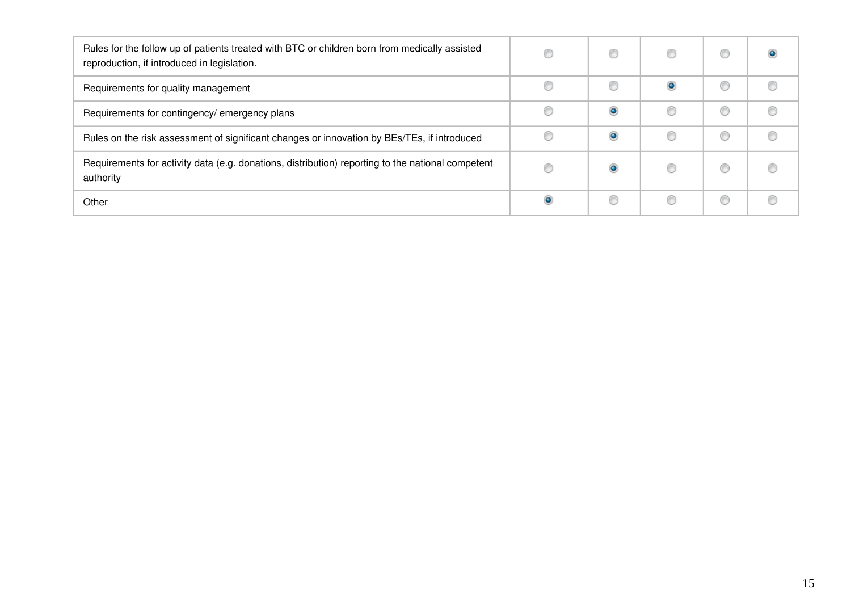| Rules for the follow up of patients treated with BTC or children born from medically assisted<br>reproduction, if introduced in legislation. |           | O | O |  |
|----------------------------------------------------------------------------------------------------------------------------------------------|-----------|---|---|--|
| Requirements for quality management                                                                                                          |           | € | ۰ |  |
| Requirements for contingency/ emergency plans                                                                                                |           | ۰ |   |  |
| Rules on the risk assessment of significant changes or innovation by BEs/TEs, if introduced                                                  |           | ۰ | O |  |
| Requirements for activity data (e.g. donations, distribution) reporting to the national competent<br>authority                               |           |   | O |  |
| Other                                                                                                                                        | $\bullet$ | C | O |  |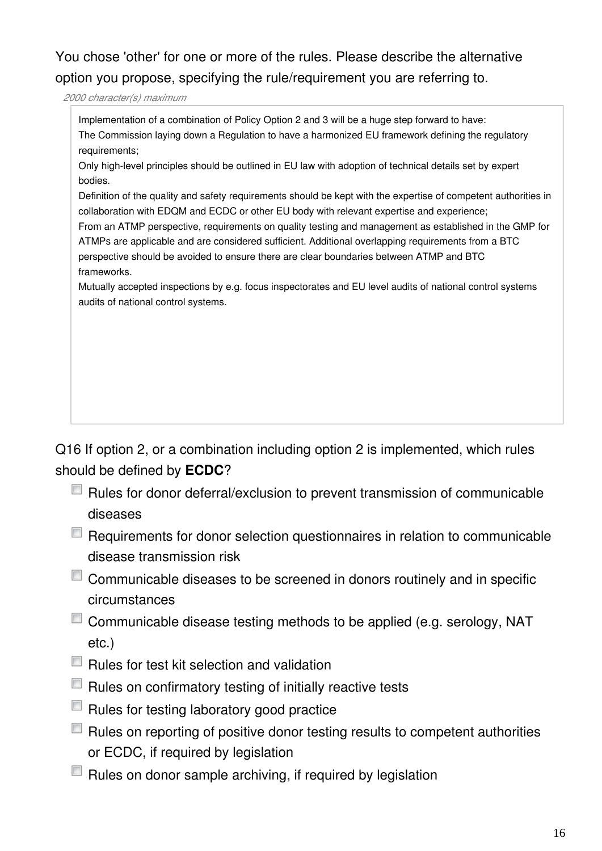You chose 'other' for one or more of the rules. Please describe the alternative option you propose, specifying the rule/requirement you are referring to.

*2000 character(s) maximum*

Implementation of a combination of Policy Option 2 and 3 will be a huge step forward to have: The Commission laying down a Regulation to have a harmonized EU framework defining the regulatory requirements;

Only high-level principles should be outlined in EU law with adoption of technical details set by expert bodies.

Definition of the quality and safety requirements should be kept with the expertise of competent authorities in collaboration with EDQM and ECDC or other EU body with relevant expertise and experience;

From an ATMP perspective, requirements on quality testing and management as established in the GMP for ATMPs are applicable and are considered sufficient. Additional overlapping requirements from a BTC perspective should be avoided to ensure there are clear boundaries between ATMP and BTC frameworks.

Mutually accepted inspections by e.g. focus inspectorates and EU level audits of national control systems audits of national control systems.

Q16 If option 2, or a combination including option 2 is implemented, which rules should be defined by **ECDC**?

- $\Box$  Rules for donor deferral/exclusion to prevent transmission of communicable diseases
- E Requirements for donor selection questionnaires in relation to communicable disease transmission risk
- Communicable diseases to be screened in donors routinely and in specific circumstances
- $\Box$  Communicable disease testing methods to be applied (e.g. serology, NAT etc.)
- $\Box$  Rules for test kit selection and validation
- $\Box$  Rules on confirmatory testing of initially reactive tests
- $\Box$  Rules for testing laboratory good practice
- $\Box$  Rules on reporting of positive donor testing results to competent authorities or ECDC, if required by legislation
- $\Box$  Rules on donor sample archiving, if required by legislation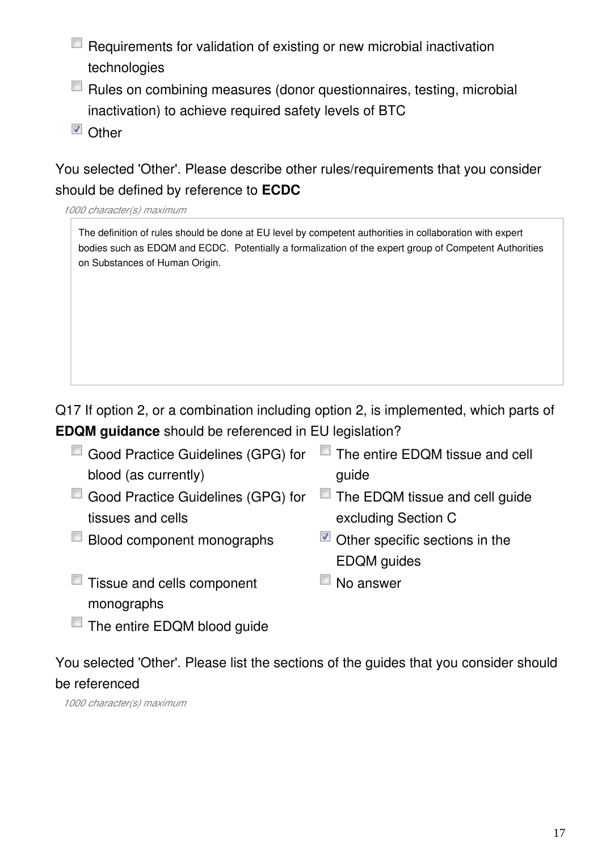- Requirements for validation of existing or new microbial inactivation technologies
- Rules on combining measures (donor questionnaires, testing, microbial inactivation) to achieve required safety levels of BTC
- Other

### You selected 'Other'. Please describe other rules/requirements that you consider should be defined by reference to **ECDC**

*1000 character(s) maximum*

The definition of rules should be done at EU level by competent authorities in collaboration with expert bodies such as EDQM and ECDC. Potentially a formalization of the expert group of Competent Authorities on Substances of Human Origin.

Q17 If option 2, or a combination including option 2, is implemented, which parts of **EDQM guidance** should be referenced in EU legislation?

- Good Practice Guidelines (GPG) for blood (as currently) ■ The entire EDQM tissue and cell guide Good Practice Guidelines (GPG) for tissues and cells The EDQM tissue and cell guide
- $\Box$  Blood component monographs  $\Box$  Other specific sections in the
- excluding Section C
- $\blacksquare$  Tissue and cells component monographs
- $\Box$  No answer

EDQM guides

The entire EDQM blood guide

You selected 'Other'. Please list the sections of the guides that you consider should be referenced

*1000 character(s) maximum*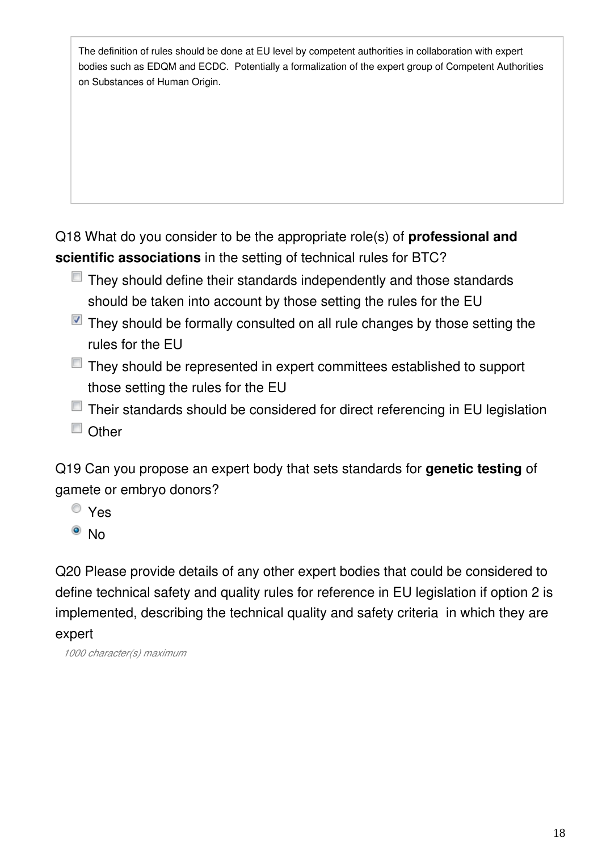The definition of rules should be done at EU level by competent authorities in collaboration with expert bodies such as EDQM and ECDC. Potentially a formalization of the expert group of Competent Authorities on Substances of Human Origin.

Q18 What do you consider to be the appropriate role(s) of **professional and scientific associations** in the setting of technical rules for BTC?

- $\blacksquare$  They should define their standards independently and those standards should be taken into account by those setting the rules for the EU
- $\blacksquare$  They should be formally consulted on all rule changes by those setting the rules for the EU
- They should be represented in expert committees established to support those setting the rules for the EU
- Their standards should be considered for direct referencing in EU legislation
- Other

Q19 Can you propose an expert body that sets standards for **genetic testing** of gamete or embryo donors?

- Yes
- <sup>o</sup> No

Q20 Please provide details of any other expert bodies that could be considered to define technical safety and quality rules for reference in EU legislation if option 2 is implemented, describing the technical quality and safety criteria in which they are expert

*1000 character(s) maximum*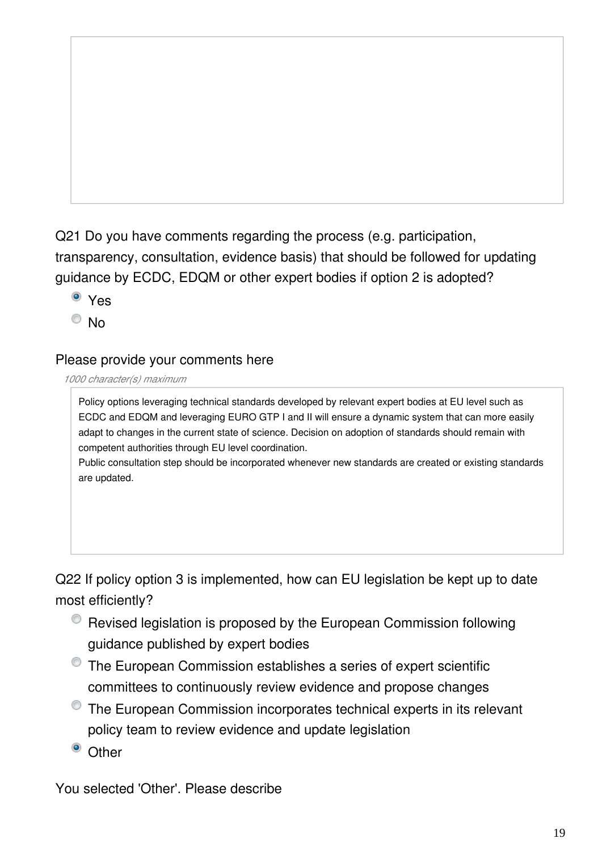Q21 Do you have comments regarding the process (e.g. participation, transparency, consultation, evidence basis) that should be followed for updating guidance by ECDC, EDQM or other expert bodies if option 2 is adopted?

- Yes
- $\odot$  No

#### Please provide your comments here

#### *1000 character(s) maximum*

Policy options leveraging technical standards developed by relevant expert bodies at EU level such as ECDC and EDQM and leveraging EURO GTP I and II will ensure a dynamic system that can more easily adapt to changes in the current state of science. Decision on adoption of standards should remain with competent authorities through EU level coordination.

Public consultation step should be incorporated whenever new standards are created or existing standards are updated.

Q22 If policy option 3 is implemented, how can EU legislation be kept up to date most efficiently?

- Revised legislation is proposed by the European Commission following guidance published by expert bodies
- The European Commission establishes a series of expert scientific committees to continuously review evidence and propose changes
- The European Commission incorporates technical experts in its relevant policy team to review evidence and update legislation
- <sup>o</sup> Other

You selected 'Other'. Please describe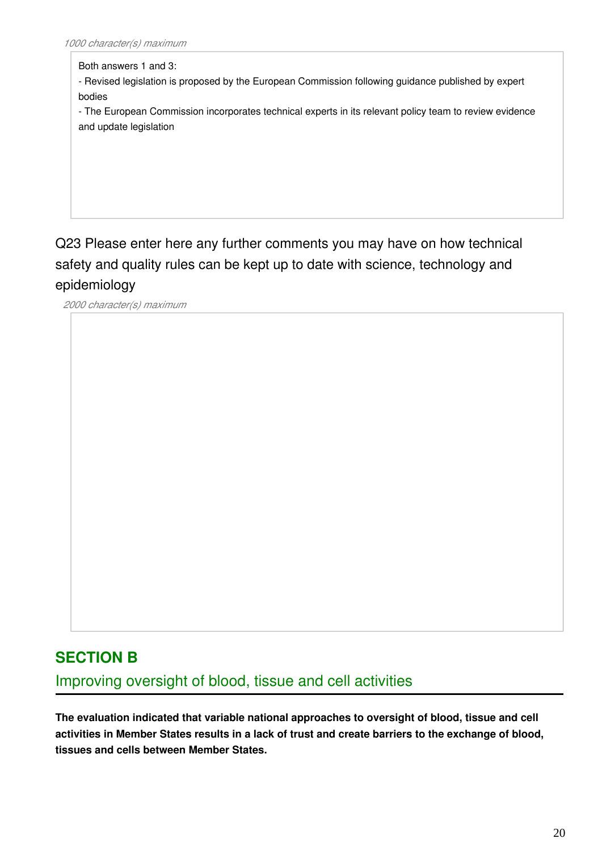Both answers 1 and 3:

- Revised legislation is proposed by the European Commission following guidance published by expert bodies

- The European Commission incorporates technical experts in its relevant policy team to review evidence and update legislation

Q23 Please enter here any further comments you may have on how technical safety and quality rules can be kept up to date with science, technology and epidemiology

*2000 character(s) maximum*

### **SECTION B**

Improving oversight of blood, tissue and cell activities

**The evaluation indicated that variable national approaches to oversight of blood, tissue and cell activities in Member States results in a lack of trust and create barriers to the exchange of blood, tissues and cells between Member States.**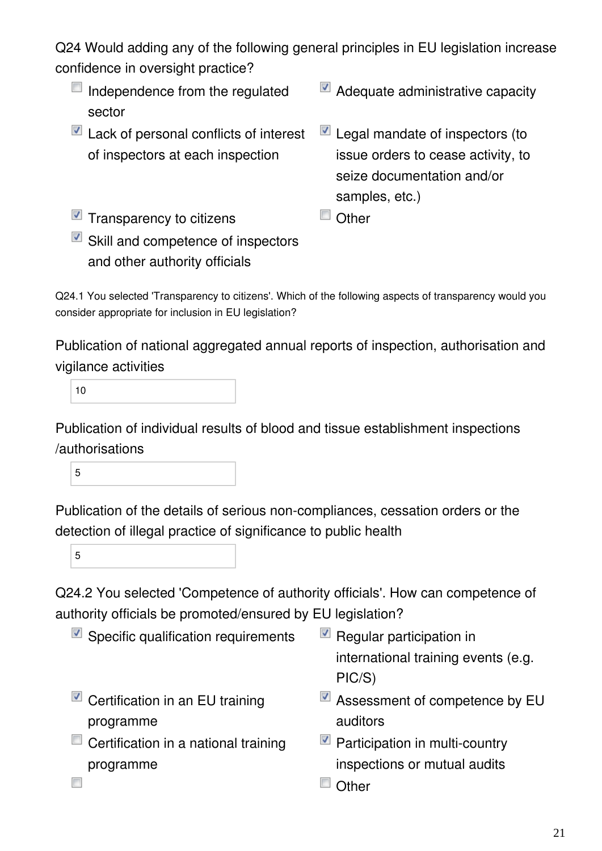Q24 Would adding any of the following general principles in EU legislation increase confidence in oversight practice?

- $\Box$  Independence from the regulated sector
- $\blacksquare$  Lack of personal conflicts of interest of inspectors at each inspection
- Adequate administrative capacity
- Legal mandate of inspectors (to issue orders to cease activity, to seize documentation and/or samples, etc.)
- $\blacksquare$  Transparency to citizens  $\blacksquare$  Other
- $\blacksquare$  Skill and competence of inspectors and other authority officials

Q24.1 You selected 'Transparency to citizens'. Which of the following aspects of transparency would you consider appropriate for inclusion in EU legislation?

Publication of national aggregated annual reports of inspection, authorisation and vigilance activities

10

Publication of individual results of blood and tissue establishment inspections /authorisations

5

Publication of the details of serious non-compliances, cessation orders or the detection of illegal practice of significance to public health

5

 $\Box$ 

Q24.2 You selected 'Competence of authority officials'. How can competence of authority officials be promoted/ensured by EU legislation?

- $\blacksquare$  Specific qualification requirements  $\blacksquare$  Regular participation in
- $\blacksquare$  Certification in an EU training programme
- $\Box$  Certification in a national training programme
- international training events (e.g. PIC/S)
- Assessment of competence by EU auditors
- $\blacksquare$  Participation in multi-country inspections or mutual audits
- Other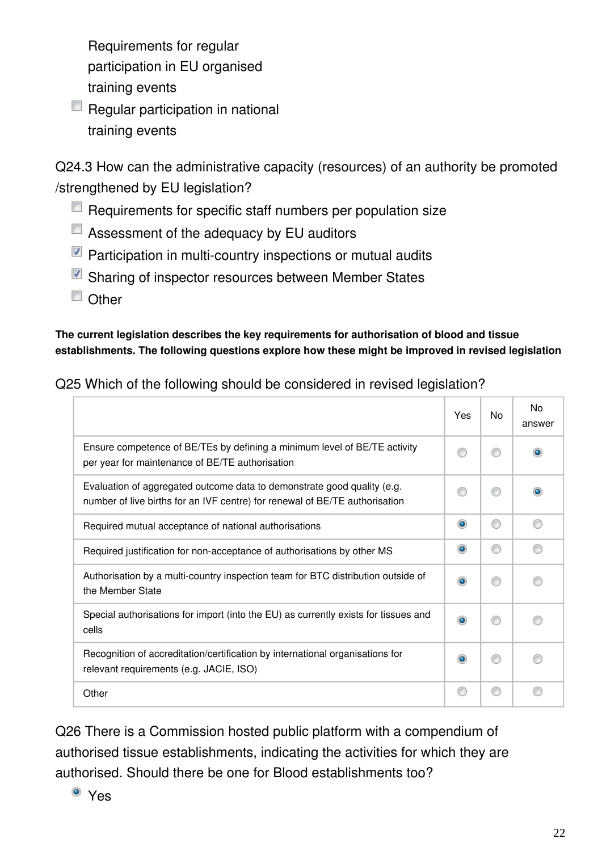Requirements for regular participation in EU organised training events

 $\Box$  Regular participation in national training events

Q24.3 How can the administrative capacity (resources) of an authority be promoted /strengthened by EU legislation?

- $\Box$  Requirements for specific staff numbers per population size
- $\Box$  Assessment of the adequacy by EU auditors
- $\blacksquare$  Participation in multi-country inspections or mutual audits
- Sharing of inspector resources between Member States
- Other

#### **The current legislation describes the key requirements for authorisation of blood and tissue establishments. The following questions explore how these might be improved in revised legislation**

| Q25 Which of the following should be considered in revised legislation? |  |
|-------------------------------------------------------------------------|--|
|-------------------------------------------------------------------------|--|

|                                                                                                                                                        | Yes            | No | No<br>answer |
|--------------------------------------------------------------------------------------------------------------------------------------------------------|----------------|----|--------------|
| Ensure competence of BE/TEs by defining a minimum level of BE/TE activity<br>per year for maintenance of BE/TE authorisation                           |                |    |              |
| Evaluation of aggregated outcome data to demonstrate good quality (e.g.<br>number of live births for an IVF centre) for renewal of BE/TE authorisation |                |    |              |
| Required mutual acceptance of national authorisations                                                                                                  | $\circledcirc$ | ⋒  |              |
| Required justification for non-acceptance of authorisations by other MS                                                                                | $\bullet$      | ∩  |              |
| Authorisation by a multi-country inspection team for BTC distribution outside of<br>the Member State                                                   |                |    |              |
| Special authorisations for import (into the EU) as currently exists for tissues and<br>cells                                                           | $\bullet$      |    |              |
| Recognition of accreditation/certification by international organisations for<br>relevant requirements (e.g. JACIE, ISO)                               | $\bullet$      | ⋒  |              |
| Other                                                                                                                                                  |                | ⋒  |              |

Q26 There is a Commission hosted public platform with a compendium of authorised tissue establishments, indicating the activities for which they are authorised. Should there be one for Blood establishments too?

Yes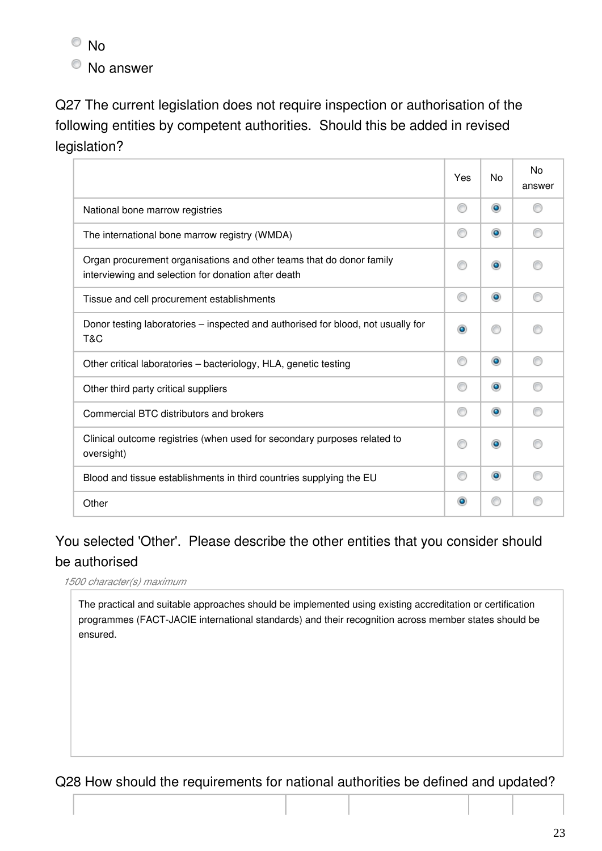<sup>O</sup>No

No answer

Q27 The current legislation does not require inspection or authorisation of the following entities by competent authorities. Should this be added in revised legislation?

|                                                                                                                             | Yes | <b>No</b> | No<br>answer |
|-----------------------------------------------------------------------------------------------------------------------------|-----|-----------|--------------|
| National bone marrow registries                                                                                             | ∩   | $\bullet$ |              |
| The international bone marrow registry (WMDA)                                                                               | ⊙   | $\bullet$ |              |
| Organ procurement organisations and other teams that do donor family<br>interviewing and selection for donation after death | ∩   | $\bullet$ |              |
| Tissue and cell procurement establishments                                                                                  | ⊙   | $\bullet$ |              |
| Donor testing laboratories – inspected and authorised for blood, not usually for<br>T&C                                     | ۰   |           |              |
| Other critical laboratories - bacteriology, HLA, genetic testing                                                            | ⊙   | $\bullet$ |              |
| Other third party critical suppliers                                                                                        | ∩   | $\bullet$ |              |
| Commercial BTC distributors and brokers                                                                                     | ∩   | $\bullet$ |              |
| Clinical outcome registries (when used for secondary purposes related to<br>oversight)                                      |     | $\bullet$ |              |
| Blood and tissue establishments in third countries supplying the EU                                                         | ∩   | $\bullet$ |              |
| Other                                                                                                                       | ۰   |           |              |

### You selected 'Other'. Please describe the other entities that you consider should be authorised

*1500 character(s) maximum*

The practical and suitable approaches should be implemented using existing accreditation or certification programmes (FACT-JACIE international standards) and their recognition across member states should be ensured.

### Q28 How should the requirements for national authorities be defined and updated?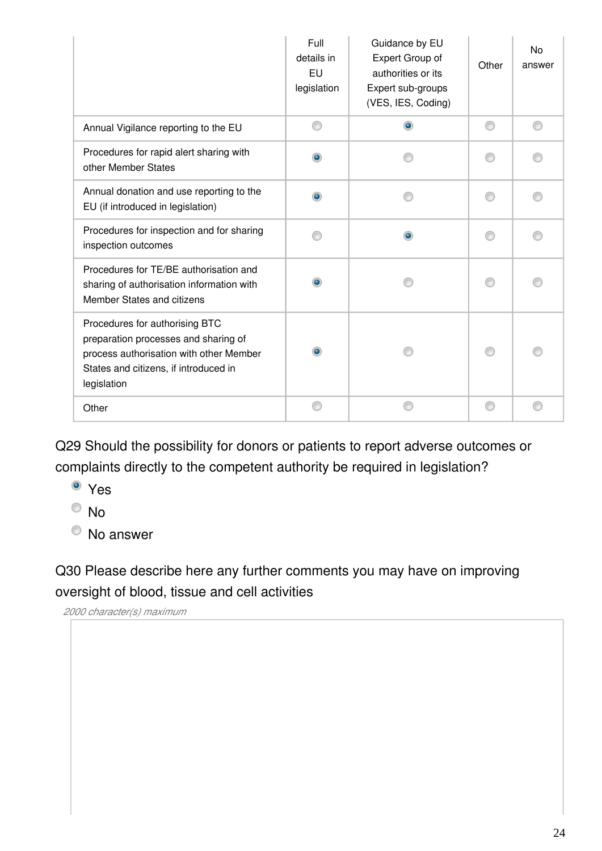|                                                                                                                                                                           | Full<br>details in<br>EU<br>legislation | Guidance by EU<br>Expert Group of<br>authorities or its<br>Expert sub-groups<br>(VES, IES, Coding) | Other | No<br>answer |
|---------------------------------------------------------------------------------------------------------------------------------------------------------------------------|-----------------------------------------|----------------------------------------------------------------------------------------------------|-------|--------------|
| Annual Vigilance reporting to the EU                                                                                                                                      |                                         | ۵                                                                                                  |       |              |
| Procedures for rapid alert sharing with<br>other Member States                                                                                                            |                                         |                                                                                                    |       |              |
| Annual donation and use reporting to the<br>EU (if introduced in legislation)                                                                                             |                                         |                                                                                                    |       |              |
| Procedures for inspection and for sharing<br>inspection outcomes                                                                                                          |                                         | ۰                                                                                                  |       |              |
| Procedures for TE/BE authorisation and<br>sharing of authorisation information with<br>Member States and citizens                                                         |                                         |                                                                                                    |       |              |
| Procedures for authorising BTC<br>preparation processes and sharing of<br>process authorisation with other Member<br>States and citizens, if introduced in<br>legislation |                                         |                                                                                                    |       |              |
| Other                                                                                                                                                                     |                                         |                                                                                                    |       |              |

Q29 Should the possibility for donors or patients to report adverse outcomes or complaints directly to the competent authority be required in legislation?

Yes

 $\odot$  No

No answer

Q30 Please describe here any further comments you may have on improving oversight of blood, tissue and cell activities

*2000 character(s) maximum*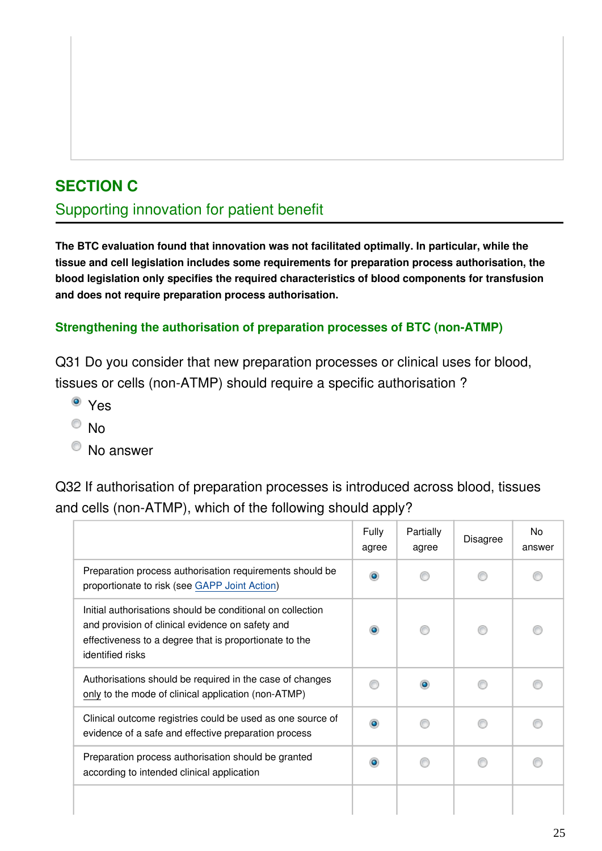### **SECTION C**

### Supporting innovation for patient benefit

**The BTC evaluation found that innovation was not facilitated optimally. In particular, while the tissue and cell legislation includes some requirements for preparation process authorisation, the blood legislation only specifies the required characteristics of blood components for transfusion and does not require preparation process authorisation.**

#### **Strengthening the authorisation of preparation processes of BTC (non-ATMP)**

Q31 Do you consider that new preparation processes or clinical uses for blood, tissues or cells (non-ATMP) should require a specific authorisation ?

- <sup>o</sup> Yes
- $\odot$  No
- No answer

Q32 If authorisation of preparation processes is introduced across blood, tissues and cells (non-ATMP), which of the following should apply?

|                                                                                                                                                                                              | Fully<br>agree | Partially<br>agree | <b>Disagree</b> | No.<br>answer |
|----------------------------------------------------------------------------------------------------------------------------------------------------------------------------------------------|----------------|--------------------|-----------------|---------------|
| Preparation process authorisation requirements should be<br>proportionate to risk (see GAPP Joint Action)                                                                                    |                |                    |                 |               |
| Initial authorisations should be conditional on collection<br>and provision of clinical evidence on safety and<br>effectiveness to a degree that is proportionate to the<br>identified risks |                |                    |                 |               |
| Authorisations should be required in the case of changes<br>only to the mode of clinical application (non-ATMP)                                                                              |                |                    |                 |               |
| Clinical outcome registries could be used as one source of<br>evidence of a safe and effective preparation process                                                                           |                |                    |                 |               |
| Preparation process authorisation should be granted<br>according to intended clinical application                                                                                            |                |                    |                 |               |
|                                                                                                                                                                                              |                |                    |                 |               |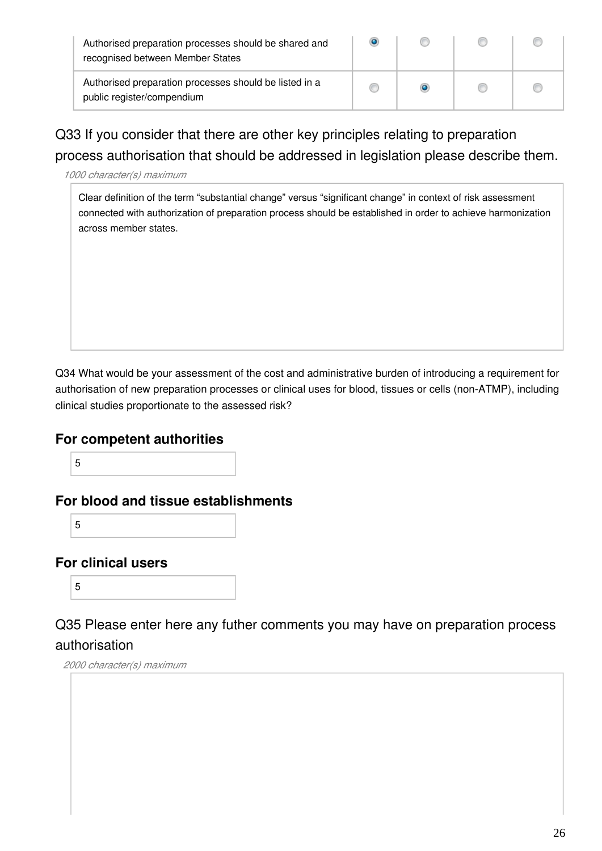| Authorised preparation processes should be shared and<br>recognised between Member States | œ |  |
|-------------------------------------------------------------------------------------------|---|--|
| Authorised preparation processes should be listed in a<br>public register/compendium      |   |  |

Q33 If you consider that there are other key principles relating to preparation process authorisation that should be addressed in legislation please describe them.

*1000 character(s) maximum*

Clear definition of the term "substantial change" versus "significant change" in context of risk assessment connected with authorization of preparation process should be established in order to achieve harmonization across member states.

Q34 What would be your assessment of the cost and administrative burden of introducing a requirement for authorisation of new preparation processes or clinical uses for blood, tissues or cells (non-ATMP), including clinical studies proportionate to the assessed risk?

#### **For competent authorities**

5

**For blood and tissue establishments**

5

#### **For clinical users**

5

Q35 Please enter here any futher comments you may have on preparation process authorisation

### *2000 character(s) maximum*

26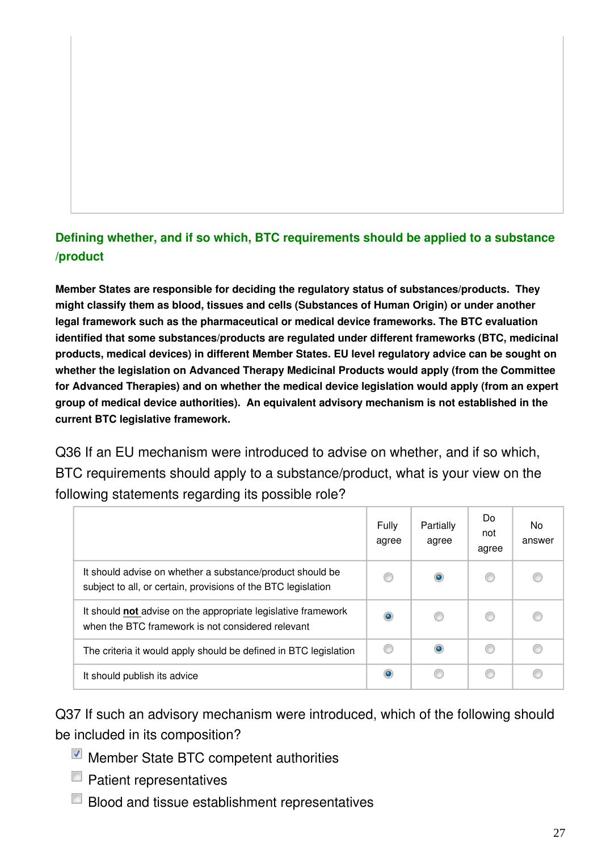### **Defining whether, and if so which, BTC requirements should be applied to a substance /product**

**Member States are responsible for deciding the regulatory status of substances/products. They might classify them as blood, tissues and cells (Substances of Human Origin) or under another legal framework such as the pharmaceutical or medical device frameworks. The BTC evaluation identified that some substances/products are regulated under different frameworks (BTC, medicinal products, medical devices) in different Member States. EU level regulatory advice can be sought on whether the legislation on Advanced Therapy Medicinal Products would apply (from the Committee for Advanced Therapies) and on whether the medical device legislation would apply (from an expert group of medical device authorities). An equivalent advisory mechanism is not established in the current BTC legislative framework.**

Q36 If an EU mechanism were introduced to advise on whether, and if so which, BTC requirements should apply to a substance/product, what is your view on the following statements regarding its possible role?

|                                                                                                                            | Fully<br>agree | Partially<br>agree | Do.<br>not<br>agree | <b>No</b><br>answer |
|----------------------------------------------------------------------------------------------------------------------------|----------------|--------------------|---------------------|---------------------|
| It should advise on whether a substance/product should be<br>subject to all, or certain, provisions of the BTC legislation |                |                    | ⊛                   |                     |
| It should not advise on the appropriate legislative framework<br>when the BTC framework is not considered relevant         | $\bullet$      |                    | ⋒                   |                     |
| The criteria it would apply should be defined in BTC legislation                                                           | ◎              |                    |                     |                     |
| It should publish its advice                                                                                               | ۰              |                    | ⋒                   |                     |

Q37 If such an advisory mechanism were introduced, which of the following should be included in its composition?

- Member State BTC competent authorities
- $\blacksquare$  Patient representatives
- $\Box$  Blood and tissue establishment representatives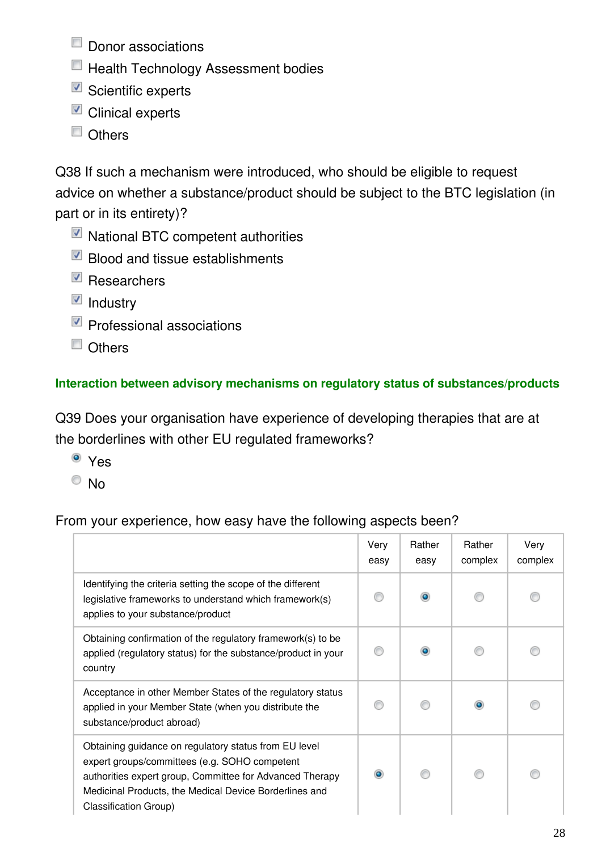- $\Box$  Donor associations
- **Health Technology Assessment bodies**
- $\blacksquare$  Scientific experts
- **Z** Clinical experts
- Others

Q38 If such a mechanism were introduced, who should be eligible to request advice on whether a substance/product should be subject to the BTC legislation (in part or in its entirety)?

- National BTC competent authorities
- Blood and tissue establishments
- $\n **Researchers**\n$
- $\blacksquare$  Industry
- Professional associations
- **Others**

#### **Interaction between advisory mechanisms on regulatory status of substances/products**

Q39 Does your organisation have experience of developing therapies that are at the borderlines with other EU regulated frameworks?

- <sup>o</sup> Yes
- $\circ$  No

#### From your experience, how easy have the following aspects been?

|                                                                                                                                                                                                                                                              | Very<br>easy | Rather<br>easy | Rather<br>complex | Very<br>complex |
|--------------------------------------------------------------------------------------------------------------------------------------------------------------------------------------------------------------------------------------------------------------|--------------|----------------|-------------------|-----------------|
| Identifying the criteria setting the scope of the different<br>legislative frameworks to understand which framework(s)<br>applies to your substance/product                                                                                                  |              |                |                   |                 |
| Obtaining confirmation of the regulatory framework(s) to be<br>applied (regulatory status) for the substance/product in your<br>country                                                                                                                      |              |                |                   |                 |
| Acceptance in other Member States of the regulatory status<br>applied in your Member State (when you distribute the<br>substance/product abroad)                                                                                                             |              |                |                   |                 |
| Obtaining guidance on regulatory status from EU level<br>expert groups/committees (e.g. SOHO competent<br>authorities expert group, Committee for Advanced Therapy<br>Medicinal Products, the Medical Device Borderlines and<br><b>Classification Group)</b> | $\bullet$    |                |                   |                 |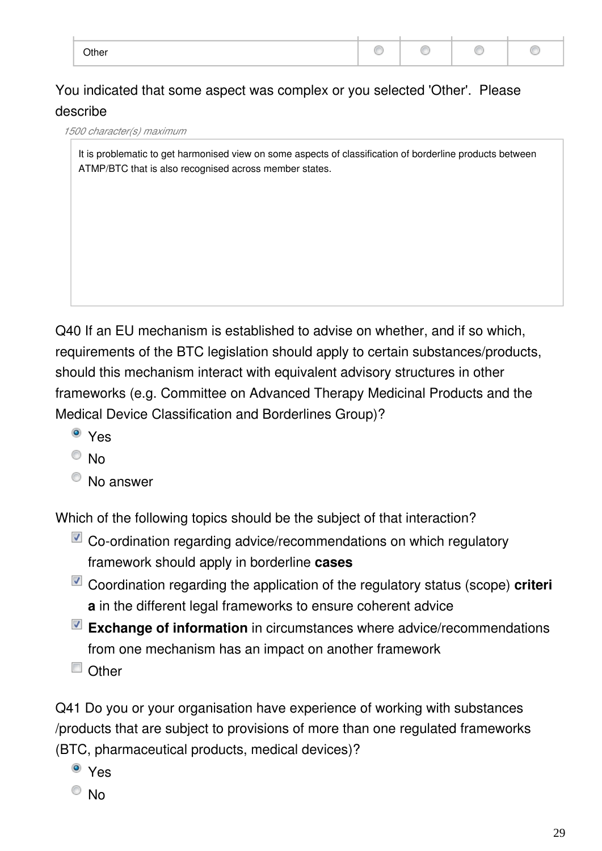| Other |  |  |
|-------|--|--|

### You indicated that some aspect was complex or you selected 'Other'. Please describe

*1500 character(s) maximum*

It is problematic to get harmonised view on some aspects of classification of borderline products between ATMP/BTC that is also recognised across member states.

Q40 If an EU mechanism is established to advise on whether, and if so which, requirements of the BTC legislation should apply to certain substances/products, should this mechanism interact with equivalent advisory structures in other frameworks (e.g. Committee on Advanced Therapy Medicinal Products and the Medical Device Classification and Borderlines Group)?

- <sup>o</sup> Yes
- $\odot$  No
- <sup>O</sup> No answer

Which of the following topics should be the subject of that interaction?

- $\blacksquare$  Co-ordination regarding advice/recommendations on which regulatory framework should apply in borderline **cases**
- Coordination regarding the application of the regulatory status (scope) **criteri a** in the different legal frameworks to ensure coherent advice
- **Exchange of information** in circumstances where advice/recommendations from one mechanism has an impact on another framework
- Other

Q41 Do you or your organisation have experience of working with substances /products that are subject to provisions of more than one regulated frameworks (BTC, pharmaceutical products, medical devices)?

- <sup>o</sup> Yes
- $\odot$  No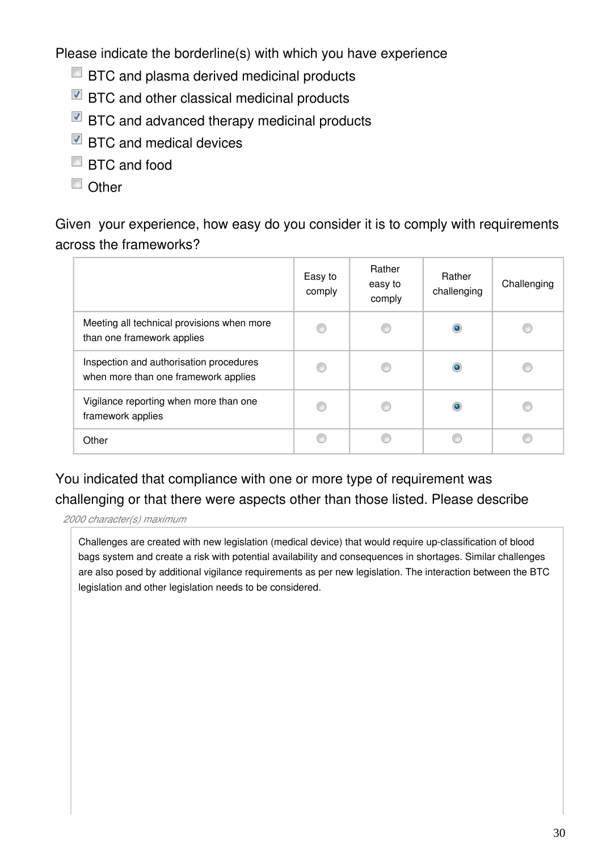Please indicate the borderline(s) with which you have experience

- **BTC** and plasma derived medicinal products
- $\blacksquare$  BTC and other classical medicinal products
- BTC and advanced therapy medicinal products
- BTC and medical devices
- BTC and food
- Other

Given your experience, how easy do you consider it is to comply with requirements across the frameworks?

|                                                                                 | Easy to<br>comply | Rather<br>easy to<br>comply | Rather<br>challenging | Challenging |
|---------------------------------------------------------------------------------|-------------------|-----------------------------|-----------------------|-------------|
| Meeting all technical provisions when more<br>than one framework applies        |                   |                             | $\bullet$             |             |
| Inspection and authorisation procedures<br>when more than one framework applies |                   |                             | $\bullet$             |             |
| Vigilance reporting when more than one<br>framework applies                     |                   |                             | ۰                     |             |
| Other                                                                           |                   |                             |                       |             |

### You indicated that compliance with one or more type of requirement was challenging or that there were aspects other than those listed. Please describe

*2000 character(s) maximum*

Challenges are created with new legislation (medical device) that would require up-classification of blood bags system and create a risk with potential availability and consequences in shortages. Similar challenges are also posed by additional vigilance requirements as per new legislation. The interaction between the BTC legislation and other legislation needs to be considered.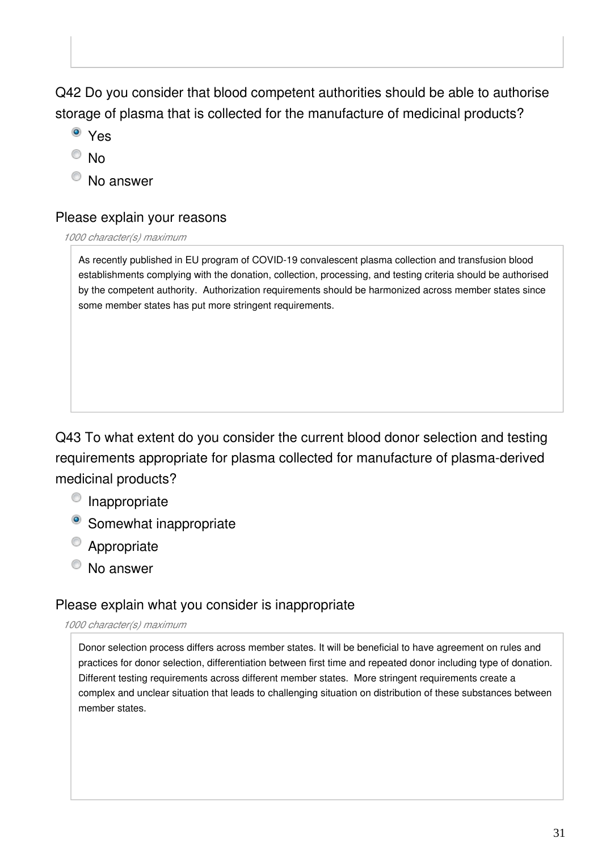Q42 Do you consider that blood competent authorities should be able to authorise storage of plasma that is collected for the manufacture of medicinal products?

- <sup>o</sup> Yes
- $\circ$  No
- <sup>O</sup> No answer

#### Please explain your reasons

*1000 character(s) maximum*

As recently published in EU program of COVID-19 convalescent plasma collection and transfusion blood establishments complying with the donation, collection, processing, and testing criteria should be authorised by the competent authority. Authorization requirements should be harmonized across member states since some member states has put more stringent requirements.

Q43 To what extent do you consider the current blood donor selection and testing requirements appropriate for plasma collected for manufacture of plasma-derived medicinal products?

- <sup>O</sup> Inappropriate
- <sup>o</sup> Somewhat inappropriate
- <sup>O</sup> Appropriate
- <sup>O</sup> No answer

#### Please explain what you consider is inappropriate

#### *1000 character(s) maximum*

Donor selection process differs across member states. It will be beneficial to have agreement on rules and practices for donor selection, differentiation between first time and repeated donor including type of donation. Different testing requirements across different member states. More stringent requirements create a complex and unclear situation that leads to challenging situation on distribution of these substances between member states.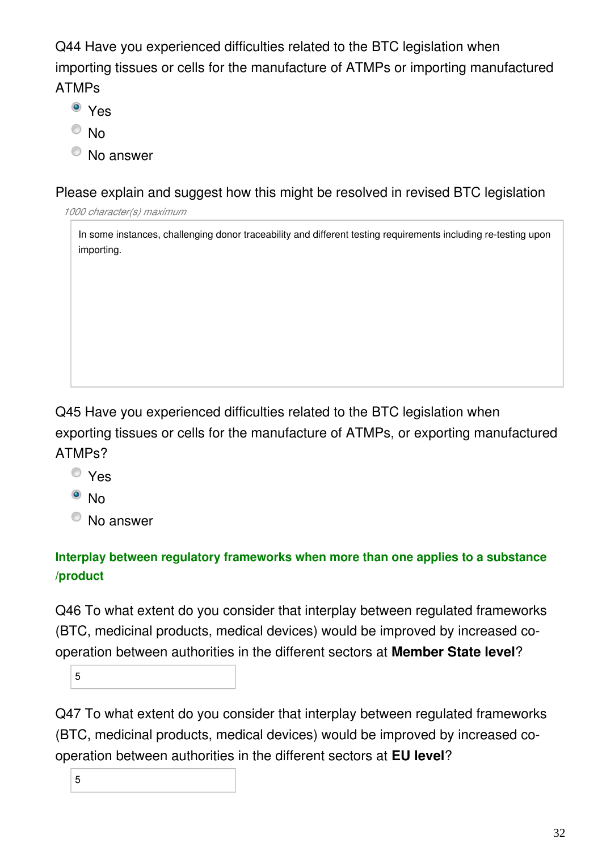Q44 Have you experienced difficulties related to the BTC legislation when importing tissues or cells for the manufacture of ATMPs or importing manufactured ATMPs

- Yes
- $\odot$  No
- $\bullet$  No answer

Please explain and suggest how this might be resolved in revised BTC legislation

*1000 character(s) maximum*

In some instances, challenging donor traceability and different testing requirements including re-testing upon importing.

### Q45 Have you experienced difficulties related to the BTC legislation when exporting tissues or cells for the manufacture of ATMPs, or exporting manufactured ATMPs?

- Yes
- $\bullet$  No
- <sup>O</sup> No answer

### **Interplay between regulatory frameworks when more than one applies to a substance /product**

Q46 To what extent do you consider that interplay between regulated frameworks (BTC, medicinal products, medical devices) would be improved by increased cooperation between authorities in the different sectors at **Member State level**?

5

Q47 To what extent do you consider that interplay between regulated frameworks (BTC, medicinal products, medical devices) would be improved by increased cooperation between authorities in the different sectors at **EU level**?

5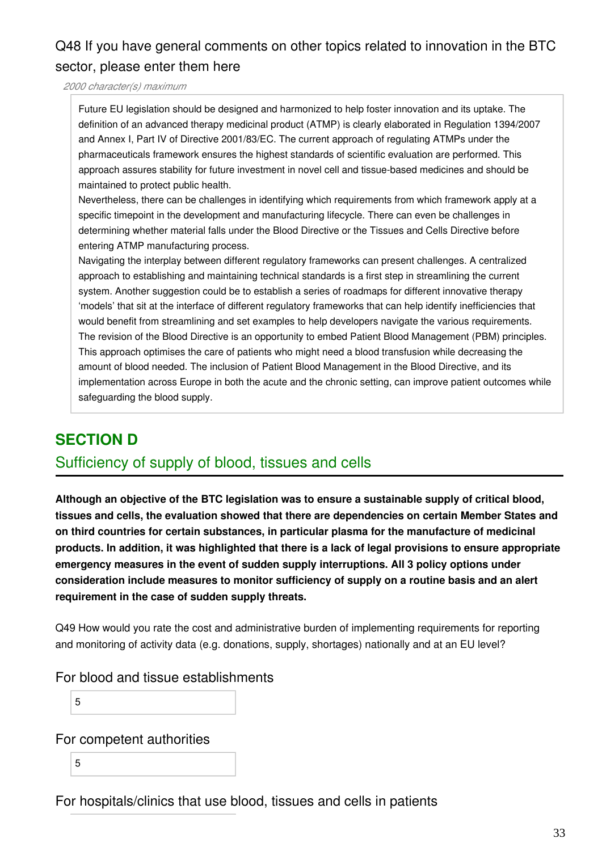### Q48 If you have general comments on other topics related to innovation in the BTC sector, please enter them here

*2000 character(s) maximum*

Future EU legislation should be designed and harmonized to help foster innovation and its uptake. The definition of an advanced therapy medicinal product (ATMP) is clearly elaborated in Regulation 1394/2007 and Annex I, Part IV of Directive 2001/83/EC. The current approach of regulating ATMPs under the pharmaceuticals framework ensures the highest standards of scientific evaluation are performed. This approach assures stability for future investment in novel cell and tissue-based medicines and should be maintained to protect public health.

Nevertheless, there can be challenges in identifying which requirements from which framework apply at a specific timepoint in the development and manufacturing lifecycle. There can even be challenges in determining whether material falls under the Blood Directive or the Tissues and Cells Directive before entering ATMP manufacturing process.

Navigating the interplay between different regulatory frameworks can present challenges. A centralized approach to establishing and maintaining technical standards is a first step in streamlining the current system. Another suggestion could be to establish a series of roadmaps for different innovative therapy 'models' that sit at the interface of different regulatory frameworks that can help identify inefficiencies that would benefit from streamlining and set examples to help developers navigate the various requirements. The revision of the Blood Directive is an opportunity to embed Patient Blood Management (PBM) principles. This approach optimises the care of patients who might need a blood transfusion while decreasing the amount of blood needed. The inclusion of Patient Blood Management in the Blood Directive, and its implementation across Europe in both the acute and the chronic setting, can improve patient outcomes while safeguarding the blood supply.

### **SECTION D**

#### Sufficiency of supply of blood, tissues and cells

**Although an objective of the BTC legislation was to ensure a sustainable supply of critical blood, tissues and cells, the evaluation showed that there are dependencies on certain Member States and on third countries for certain substances, in particular plasma for the manufacture of medicinal products. In addition, it was highlighted that there is a lack of legal provisions to ensure appropriate emergency measures in the event of sudden supply interruptions. All 3 policy options under consideration include measures to monitor sufficiency of supply on a routine basis and an alert requirement in the case of sudden supply threats.**

Q49 How would you rate the cost and administrative burden of implementing requirements for reporting and monitoring of activity data (e.g. donations, supply, shortages) nationally and at an EU level?

#### For blood and tissue establishments

5

#### For competent authorities

5

For hospitals/clinics that use blood, tissues and cells in patients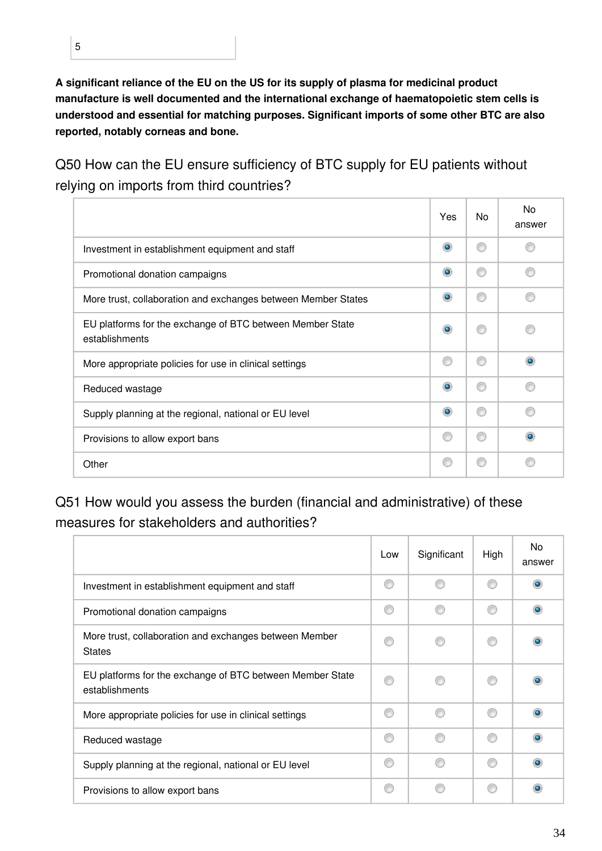**A significant reliance of the EU on the US for its supply of plasma for medicinal product manufacture is well documented and the international exchange of haematopoietic stem cells is understood and essential for matching purposes. Significant imports of some other BTC are also reported, notably corneas and bone.**

Q50 How can the EU ensure sufficiency of BTC supply for EU patients without relying on imports from third countries?

|                                                                             | Yes       | No. | <b>No</b><br>answer |
|-----------------------------------------------------------------------------|-----------|-----|---------------------|
| Investment in establishment equipment and staff                             | $\bullet$ | ⋒   |                     |
| Promotional donation campaigns                                              | $\bullet$ | ⋒   |                     |
| More trust, collaboration and exchanges between Member States               | $\bullet$ | ⋒   | A                   |
| EU platforms for the exchange of BTC between Member State<br>establishments | $\bullet$ | m   |                     |
| More appropriate policies for use in clinical settings                      | ⋒         | ⋒   | ۰                   |
| Reduced wastage                                                             | $\bullet$ | ⋒   |                     |
| Supply planning at the regional, national or EU level                       | $\bullet$ | ⋒   |                     |
| Provisions to allow export bans                                             |           | ⋒   | ۰                   |
| Other                                                                       |           |     |                     |

Q51 How would you assess the burden (financial and administrative) of these measures for stakeholders and authorities?

|                                                                             | Low | Significant | High | No.<br>answer |
|-----------------------------------------------------------------------------|-----|-------------|------|---------------|
| Investment in establishment equipment and staff                             | ⋒   |             | ⋒    | $\bullet$     |
| Promotional donation campaigns                                              | ⋒   |             |      | $\bullet$     |
| More trust, collaboration and exchanges between Member<br><b>States</b>     |     |             |      |               |
| EU platforms for the exchange of BTC between Member State<br>establishments | ⋒   |             |      |               |
| More appropriate policies for use in clinical settings                      | ∩   | ⋒           | ⊙    | $\bullet$     |
| Reduced wastage                                                             | ⋒   |             | ⋒    | $\bullet$     |
| Supply planning at the regional, national or EU level                       | ∩   | ⋒           | ⊙    | $\bullet$     |
| Provisions to allow export bans                                             | ⊙   |             | ⋒    | $\bullet$     |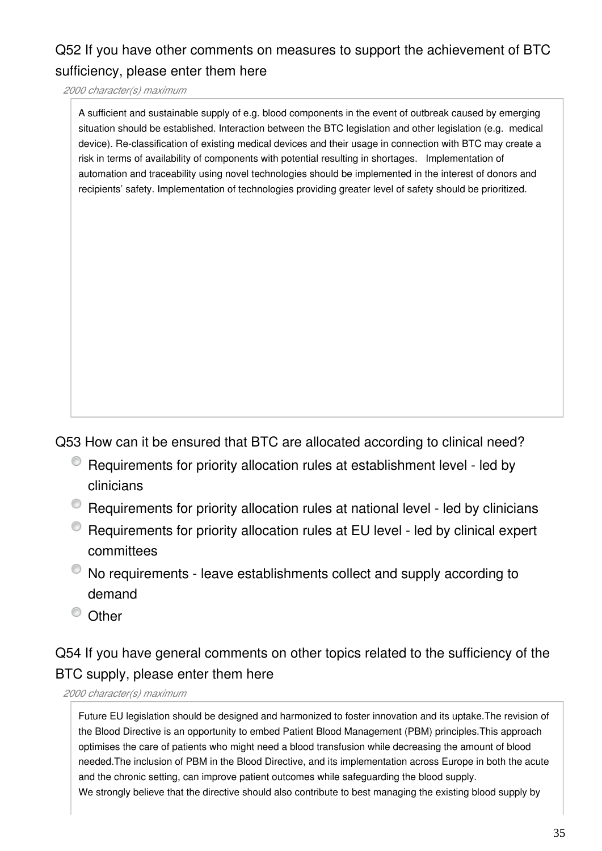### Q52 If you have other comments on measures to support the achievement of BTC sufficiency, please enter them here

*2000 character(s) maximum*

A sufficient and sustainable supply of e.g. blood components in the event of outbreak caused by emerging situation should be established. Interaction between the BTC legislation and other legislation (e.g. medical device). Re-classification of existing medical devices and their usage in connection with BTC may create a risk in terms of availability of components with potential resulting in shortages. Implementation of automation and traceability using novel technologies should be implemented in the interest of donors and recipients' safety. Implementation of technologies providing greater level of safety should be prioritized.

Q53 How can it be ensured that BTC are allocated according to clinical need?

- Requirements for priority allocation rules at establishment level led by clinicians
- Requirements for priority allocation rules at national level led by clinicians
- Requirements for priority allocation rules at EU level led by clinical expert committees
- $\bullet$  No requirements leave establishments collect and supply according to demand
- <sup>O</sup> Other

### Q54 If you have general comments on other topics related to the sufficiency of the BTC supply, please enter them here

*2000 character(s) maximum*

Future EU legislation should be designed and harmonized to foster innovation and its uptake.The revision of the Blood Directive is an opportunity to embed Patient Blood Management (PBM) principles.This approach optimises the care of patients who might need a blood transfusion while decreasing the amount of blood needed.The inclusion of PBM in the Blood Directive, and its implementation across Europe in both the acute and the chronic setting, can improve patient outcomes while safeguarding the blood supply. We strongly believe that the directive should also contribute to best managing the existing blood supply by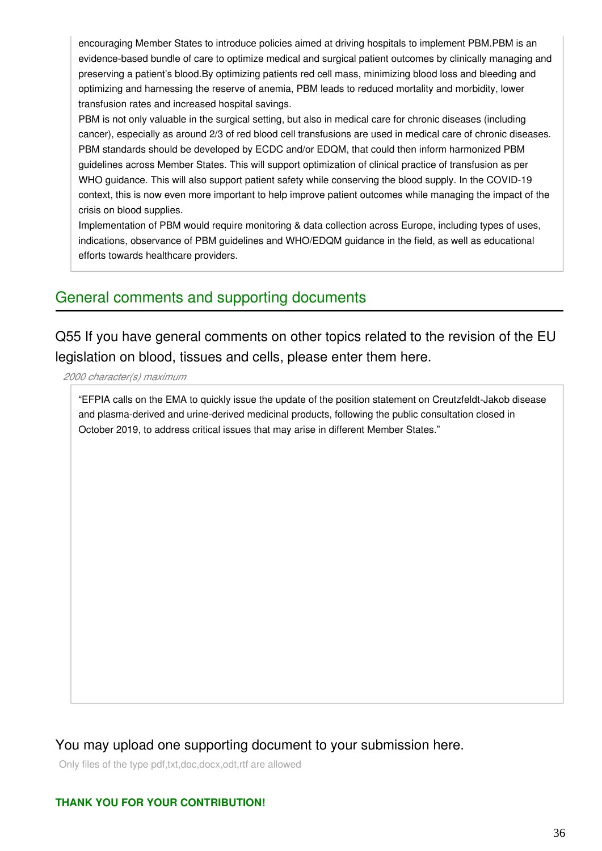encouraging Member States to introduce policies aimed at driving hospitals to implement PBM.PBM is an evidence-based bundle of care to optimize medical and surgical patient outcomes by clinically managing and preserving a patient's blood.By optimizing patients red cell mass, minimizing blood loss and bleeding and optimizing and harnessing the reserve of anemia, PBM leads to reduced mortality and morbidity, lower transfusion rates and increased hospital savings.

PBM is not only valuable in the surgical setting, but also in medical care for chronic diseases (including cancer), especially as around 2/3 of red blood cell transfusions are used in medical care of chronic diseases. PBM standards should be developed by ECDC and/or EDQM, that could then inform harmonized PBM guidelines across Member States. This will support optimization of clinical practice of transfusion as per WHO guidance. This will also support patient safety while conserving the blood supply. In the COVID-19 context, this is now even more important to help improve patient outcomes while managing the impact of the crisis on blood supplies.

Implementation of PBM would require monitoring & data collection across Europe, including types of uses, indications, observance of PBM guidelines and WHO/EDQM guidance in the field, as well as educational efforts towards healthcare providers.

### General comments and supporting documents

Q55 If you have general comments on other topics related to the revision of the EU legislation on blood, tissues and cells, please enter them here.

*2000 character(s) maximum*

"EFPIA calls on the EMA to quickly issue the update of the position statement on Creutzfeldt-Jakob disease and plasma-derived and urine-derived medicinal products, following the public consultation closed in October 2019, to address critical issues that may arise in different Member States."

#### You may upload one supporting document to your submission here.

Only files of the type pdf,txt,doc,docx,odt,rtf are allowed

#### **THANK YOU FOR YOUR CONTRIBUTION!**